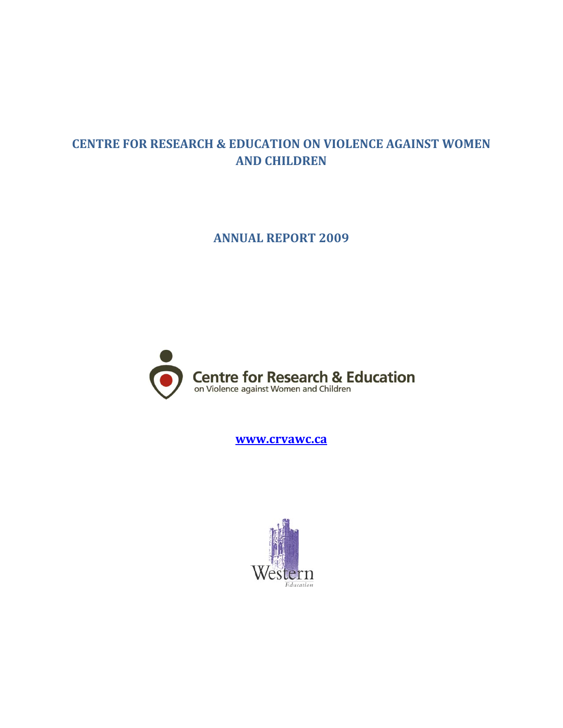# **CENTRE FOR RESEARCH & EDUCATION ON VIOLENCE AGAINST WOMEN AND CHILDREN**

**ANNUAL REPORT 2009**



**[www.crvawc.ca](http://www.crvawc.ca/)**

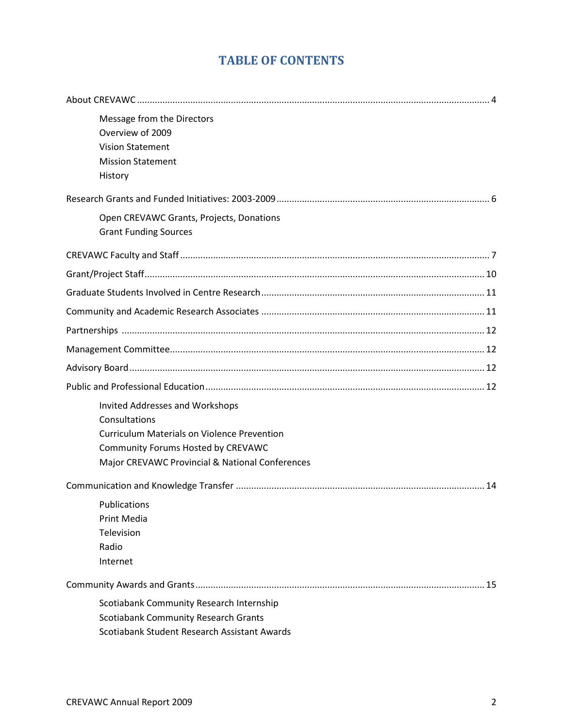# **TABLE OF CONTENTS**

| Message from the Directors<br>Overview of 2009<br><b>Vision Statement</b>                                                                    |
|----------------------------------------------------------------------------------------------------------------------------------------------|
| <b>Mission Statement</b><br>History                                                                                                          |
|                                                                                                                                              |
| Open CREVAWC Grants, Projects, Donations<br><b>Grant Funding Sources</b>                                                                     |
|                                                                                                                                              |
|                                                                                                                                              |
|                                                                                                                                              |
|                                                                                                                                              |
|                                                                                                                                              |
|                                                                                                                                              |
|                                                                                                                                              |
|                                                                                                                                              |
| Invited Addresses and Workshops<br>Consultations<br><b>Curriculum Materials on Violence Prevention</b><br>Community Forums Hosted by CREVAWC |
| Major CREVAWC Provincial & National Conferences                                                                                              |
|                                                                                                                                              |
| Publications<br>Print Media<br>Television<br>Radio<br>Internet                                                                               |
|                                                                                                                                              |
| Scotiabank Community Research Internship                                                                                                     |
| <b>Scotiabank Community Research Grants</b>                                                                                                  |
| Scotiabank Student Research Assistant Awards                                                                                                 |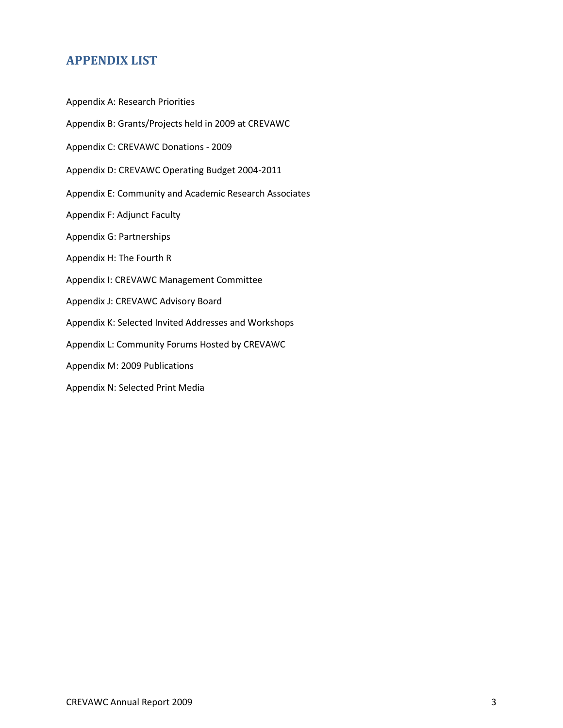# **APPENDIX LIST**

- Appendix A: Research Priorities
- Appendix B: Grants/Projects held in 2009 at CREVAWC
- Appendix C: CREVAWC Donations 2009
- Appendix D: CREVAWC Operating Budget 2004-2011
- Appendix E: Community and Academic Research Associates
- Appendix F: Adjunct Faculty
- Appendix G: Partnerships
- Appendix H: The Fourth R
- Appendix I: CREVAWC Management Committee
- Appendix J: CREVAWC Advisory Board
- Appendix K: Selected Invited Addresses and Workshops
- Appendix L: Community Forums Hosted by CREVAWC
- Appendix M: 2009 Publications
- Appendix N: Selected Print Media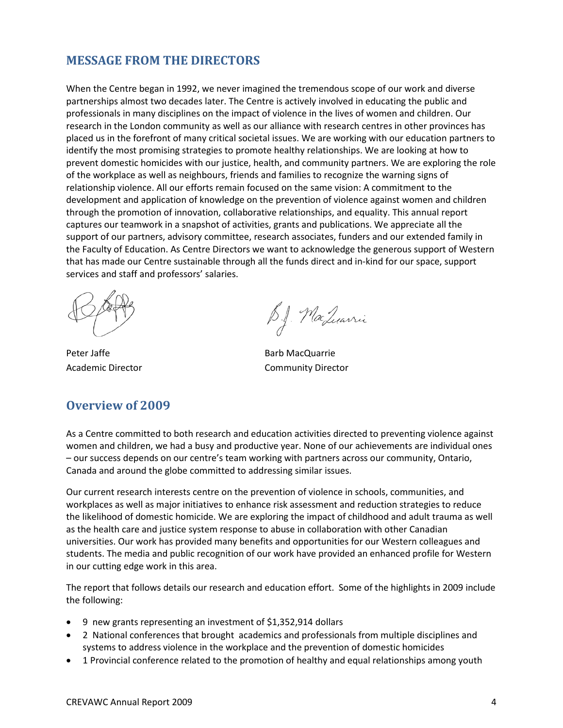### **MESSAGE FROM THE DIRECTORS**

When the Centre began in 1992, we never imagined the tremendous scope of our work and diverse partnerships almost two decades later. The Centre is actively involved in educating the public and professionals in many disciplines on the impact of violence in the lives of women and children. Our research in the London community as well as our alliance with research centres in other provinces has placed us in the forefront of many critical societal issues. We are working with our education partners to identify the most promising strategies to promote healthy relationships. We are looking at how to prevent domestic homicides with our justice, health, and community partners. We are exploring the role of the workplace as well as neighbours, friends and families to recognize the warning signs of relationship violence. All our efforts remain focused on the same vision: A commitment to the development and application of knowledge on the prevention of violence against women and children through the promotion of innovation, collaborative relationships, and equality. This annual report captures our teamwork in a snapshot of activities, grants and publications. We appreciate all the support of our partners, advisory committee, research associates, funders and our extended family in the Faculty of Education. As Centre Directors we want to acknowledge the generous support of Western that has made our Centre sustainable through all the funds direct and in-kind for our space, support services and staff and professors' salaries.

# **Overview of 2009**

B.J. MacLuarrii

Peter Jaffe Barb MacQuarrie Academic Director **Community Director** 

As a Centre committed to both research and education activities directed to preventing violence against women and children, we had a busy and productive year. None of our achievements are individual ones – our success depends on our centre's team working with partners across our community, Ontario, Canada and around the globe committed to addressing similar issues.

Our current research interests centre on the prevention of violence in schools, communities, and workplaces as well as major initiatives to enhance risk assessment and reduction strategies to reduce the likelihood of domestic homicide. We are exploring the impact of childhood and adult trauma as well as the health care and justice system response to abuse in collaboration with other Canadian universities. Our work has provided many benefits and opportunities for our Western colleagues and students. The media and public recognition of our work have provided an enhanced profile for Western in our cutting edge work in this area.

The report that follows details our research and education effort. Some of the highlights in 2009 include the following:

- 9 new grants representing an investment of \$1,352,914 dollars
- 2 National conferences that brought academics and professionals from multiple disciplines and systems to address violence in the workplace and the prevention of domestic homicides
- 1 Provincial conference related to the promotion of healthy and equal relationships among youth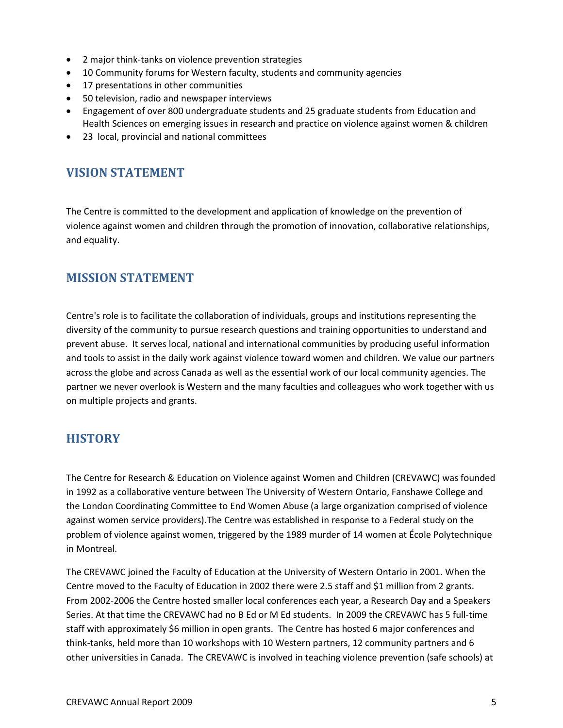- 2 major think-tanks on violence prevention strategies
- 10 Community forums for Western faculty, students and community agencies
- 17 presentations in other communities
- 50 television, radio and newspaper interviews
- Engagement of over 800 undergraduate students and 25 graduate students from Education and Health Sciences on emerging issues in research and practice on violence against women & children
- 23 local, provincial and national committees

# **VISION STATEMENT**

The Centre is committed to the development and application of knowledge on the prevention of violence against women and children through the promotion of innovation, collaborative relationships, and equality.

# **MISSION STATEMENT**

Centre's role is to facilitate the collaboration of individuals, groups and institutions representing the diversity of the community to pursue research questions and training opportunities to understand and prevent abuse. It serves local, national and international communities by producing useful information and tools to assist in the daily work against violence toward women and children. We value our partners across the globe and across Canada as well as the essential work of our local community agencies. The partner we never overlook is Western and the many faculties and colleagues who work together with us on multiple projects and grants.

# **HISTORY**

The Centre for Research & Education on Violence against Women and Children (CREVAWC) was founded in 1992 as a collaborative venture between The University of Western Ontario, Fanshawe College and the London Coordinating Committee to End Women Abuse (a large organization comprised of violence against women service providers).The Centre was established in response to a Federal study on the problem of violence against women, triggered by the 1989 murder of 14 women at École Polytechnique in Montreal.

The CREVAWC joined the Faculty of Education at the University of Western Ontario in 2001. When the Centre moved to the Faculty of Education in 2002 there were 2.5 staff and \$1 million from 2 grants. From 2002-2006 the Centre hosted smaller local conferences each year, a Research Day and a Speakers Series. At that time the CREVAWC had no B Ed or M Ed students. In 2009 the CREVAWC has 5 full-time staff with approximately \$6 million in open grants. The Centre has hosted 6 major conferences and think-tanks, held more than 10 workshops with 10 Western partners, 12 community partners and 6 other universities in Canada. The CREVAWC is involved in teaching violence prevention (safe schools) at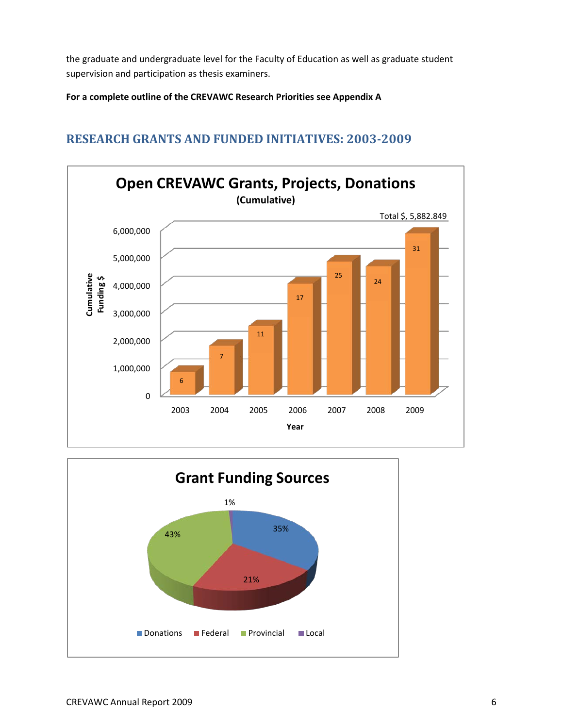the graduate and undergraduate level for the Faculty of Education as well as graduate student supervision and participation as thesis examiners.

**For a complete outline of the CREVAWC Research Priorities see Appendix A**

### 0 1,000,000 2,000,000 3,000,000 4,000,000 5,000,000 6,000,000 2003 2004 2005 2006 2007 2008 2009 Total \$, 5,882.849 **Cumulative Funding \$ Year Open CREVAWC Grants, Projects, Donations (Cumulative)** 6 7 11 17 25 24 31



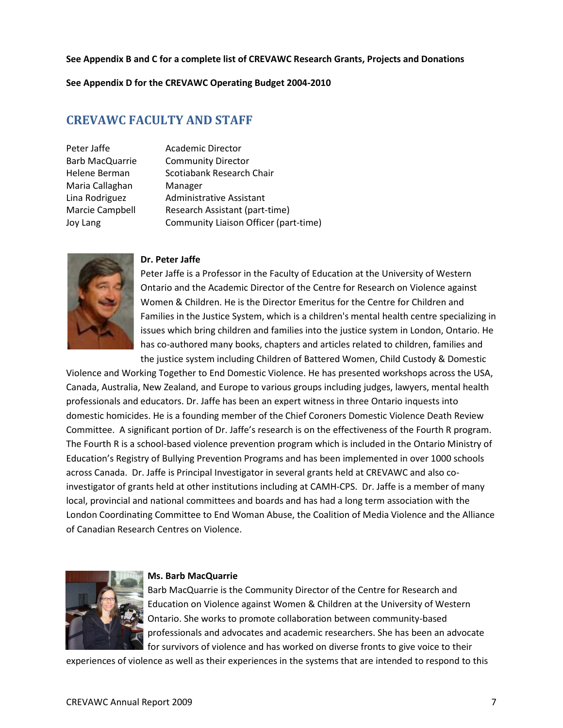#### **See Appendix B and C for a complete list of CREVAWC Research Grants, Projects and Donations**

**See Appendix D for the CREVAWC Operating Budget 2004-2010**

### **CREVAWC FACULTY AND STAFF**

Maria Callaghan Manager

Peter Jaffe **Academic Director** Barb MacQuarrie Community Director Helene Berman Scotiabank Research Chair Lina Rodriguez Administrative Assistant Marcie Campbell Research Assistant (part-time) Joy Lang Community Liaison Officer (part-time)



#### **Dr. Peter Jaffe**

Peter Jaffe is a Professor in the Faculty of Education at the University of Western Ontario and the Academic Director of the Centre for Research on Violence against Women & Children. He is the Director Emeritus for the Centre for Children and Families in the Justice System, which is a children's mental health centre specializing in issues which bring children and families into the justice system in London, Ontario. He has co-authored many books, chapters and articles related to children, families and the justice system including Children of Battered Women, Child Custody & Domestic

Violence and Working Together to End Domestic Violence. He has presented workshops across the USA, Canada, Australia, New Zealand, and Europe to various groups including judges, lawyers, mental health professionals and educators. Dr. Jaffe has been an expert witness in three Ontario inquests into domestic homicides. He is a founding member of the Chief Coroners Domestic Violence Death Review Committee. A significant portion of Dr. Jaffe's research is on the effectiveness of the Fourth R program. The Fourth R is a school-based violence prevention program which is included in the Ontario Ministry of Education's Registry of Bullying Prevention Programs and has been implemented in over 1000 schools across Canada. Dr. Jaffe is Principal Investigator in several grants held at CREVAWC and also coinvestigator of grants held at other institutions including at CAMH-CPS. Dr. Jaffe is a member of many local, provincial and national committees and boards and has had a long term association with the London Coordinating Committee to End Woman Abuse, the Coalition of Media Violence and the Alliance of Canadian Research Centres on Violence.



#### **Ms. Barb MacQuarrie**

Barb MacQuarrie is the Community Director of the Centre for Research and Education on Violence against Women & Children at the University of Western Ontario. She works to promote collaboration between community-based professionals and advocates and academic researchers. She has been an advocate for survivors of violence and has worked on diverse fronts to give voice to their

experiences of violence as well as their experiences in the systems that are intended to respond to this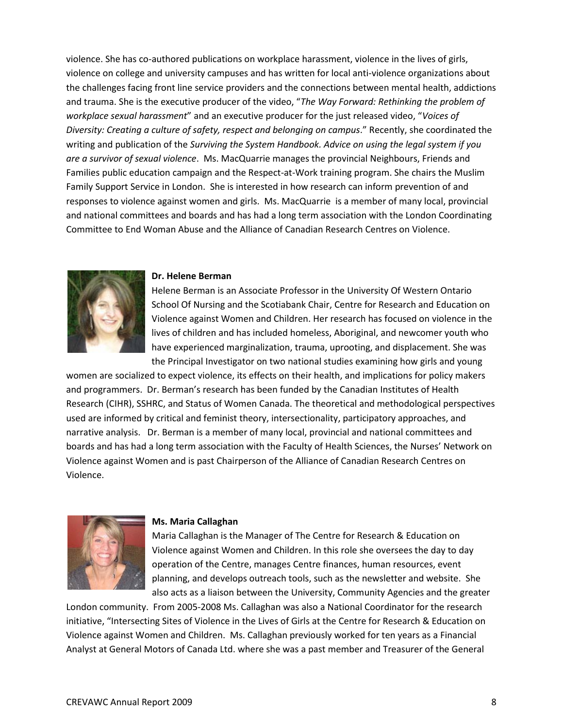violence. She has co-authored publications on workplace harassment, violence in the lives of girls, violence on college and university campuses and has written for local anti-violence organizations about the challenges facing front line service providers and the connections between mental health, addictions and trauma. She is the executive producer of the video, "*The Way Forward: Rethinking the problem of workplace sexual harassment*" and an executive producer for the just released video, "*Voices of Diversity: Creating a culture of safety, respect and belonging on campus*." Recently, she coordinated the writing and publication of the *Surviving the System Handbook. Advice on using the legal system if you are a survivor of sexual violence*. Ms. MacQuarrie manages the provincial Neighbours, Friends and Families public education campaign and the Respect-at-Work training program. She chairs the Muslim Family Support Service in London. She is interested in how research can inform prevention of and responses to violence against women and girls. Ms. MacQuarrie is a member of many local, provincial and national committees and boards and has had a long term association with the London Coordinating Committee to End Woman Abuse and the Alliance of Canadian Research Centres on Violence.



#### **Dr. Helene Berman**

Helene Berman is an Associate Professor in the University Of Western Ontario School Of Nursing and the Scotiabank Chair, Centre for Research and Education on Violence against Women and Children. Her research has focused on violence in the lives of children and has included homeless, Aboriginal, and newcomer youth who have experienced marginalization, trauma, uprooting, and displacement. She was the Principal Investigator on two national studies examining how girls and young

women are socialized to expect violence, its effects on their health, and implications for policy makers and programmers. Dr. Berman's research has been funded by the Canadian Institutes of Health Research (CIHR), SSHRC, and Status of Women Canada. The theoretical and methodological perspectives used are informed by critical and feminist theory, intersectionality, participatory approaches, and narrative analysis. Dr. Berman is a member of many local, provincial and national committees and boards and has had a long term association with the Faculty of Health Sciences, the Nurses' Network on Violence against Women and is past Chairperson of the Alliance of Canadian Research Centres on Violence.



#### **Ms. Maria Callaghan**

Maria Callaghan is the Manager of The Centre for Research & Education on Violence against Women and Children. In this role she oversees the day to day operation of the Centre, manages Centre finances, human resources, event planning, and develops outreach tools, such as the newsletter and website. She also acts as a liaison between the University, Community Agencies and the greater

London community. From 2005-2008 Ms. Callaghan was also a National Coordinator for the research initiative, "Intersecting Sites of Violence in the Lives of Girls at the Centre for Research & Education on Violence against Women and Children. Ms. Callaghan previously worked for ten years as a Financial Analyst at General Motors of Canada Ltd. where she was a past member and Treasurer of the General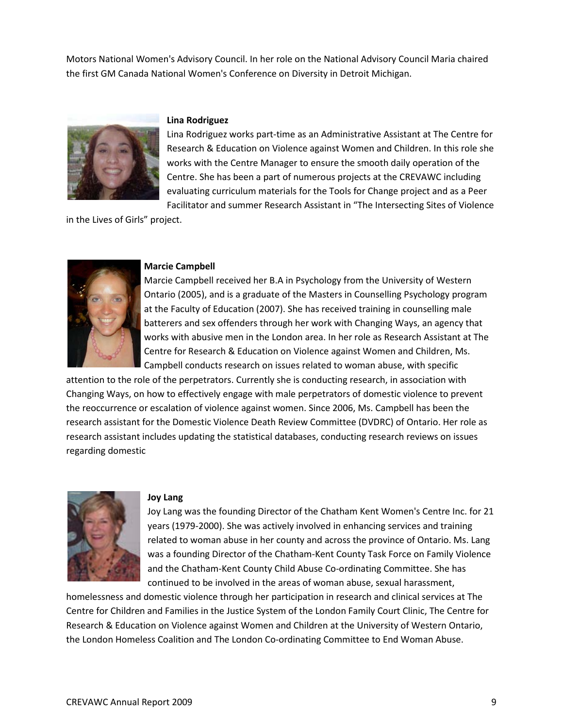Motors National Women's Advisory Council. In her role on the National Advisory Council Maria chaired the first GM Canada National Women's Conference on Diversity in Detroit Michigan.



#### **Lina Rodriguez**

Lina Rodriguez works part-time as an Administrative Assistant at The Centre for Research & Education on Violence against Women and Children. In this role she works with the Centre Manager to ensure the smooth daily operation of the Centre. She has been a part of numerous projects at the CREVAWC including evaluating curriculum materials for the Tools for Change project and as a Peer Facilitator and summer Research Assistant in "The Intersecting Sites of Violence

in the Lives of Girls" project.



#### **Marcie Campbell**

Marcie Campbell received her B.A in Psychology from the University of Western Ontario (2005), and is a graduate of the Masters in Counselling Psychology program at the Faculty of Education (2007). She has received training in counselling male batterers and sex offenders through her work with Changing Ways, an agency that works with abusive men in the London area. In her role as Research Assistant at The Centre for Research & Education on Violence against Women and Children, Ms. Campbell conducts research on issues related to woman abuse, with specific

attention to the role of the perpetrators. Currently she is conducting research, in association with Changing Ways, on how to effectively engage with male perpetrators of domestic violence to prevent the reoccurrence or escalation of violence against women. Since 2006, Ms. Campbell has been the research assistant for the Domestic Violence Death Review Committee (DVDRC) of Ontario. Her role as research assistant includes updating the statistical databases, conducting research reviews on issues regarding domestic



#### **Joy Lang**

Joy Lang was the founding Director of the Chatham Kent Women's Centre Inc. for 21 years (1979-2000). She was actively involved in enhancing services and training related to woman abuse in her county and across the province of Ontario. Ms. Lang was a founding Director of the Chatham-Kent County Task Force on Family Violence and the Chatham-Kent County Child Abuse Co-ordinating Committee. She has continued to be involved in the areas of woman abuse, sexual harassment,

homelessness and domestic violence through her participation in research and clinical services at The Centre for Children and Families in the Justice System of the London Family Court Clinic, The Centre for Research & Education on Violence against Women and Children at the University of Western Ontario, the London Homeless Coalition and The London Co-ordinating Committee to End Woman Abuse.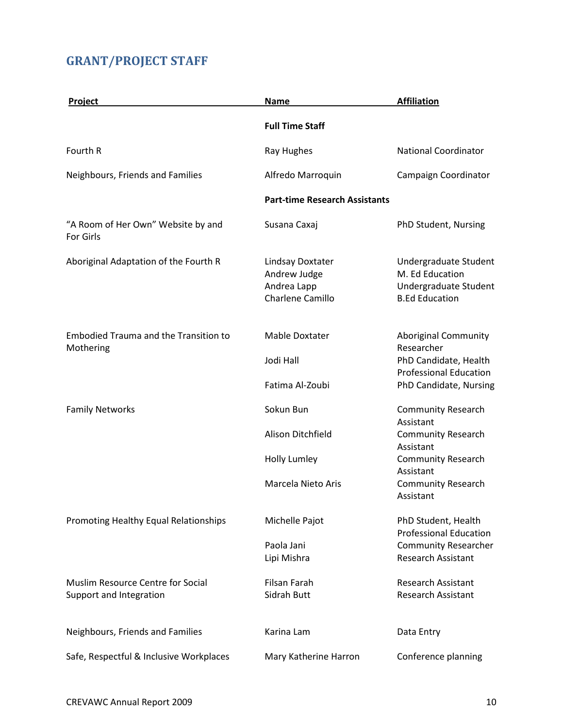# **GRANT/PROJECT STAFF**

| Project                                                      | <b>Name</b>                                                         | <b>Affiliation</b>                                                                         |
|--------------------------------------------------------------|---------------------------------------------------------------------|--------------------------------------------------------------------------------------------|
|                                                              | <b>Full Time Staff</b>                                              |                                                                                            |
| Fourth R                                                     | Ray Hughes                                                          | <b>National Coordinator</b>                                                                |
| Neighbours, Friends and Families                             | Alfredo Marroquin                                                   | Campaign Coordinator                                                                       |
|                                                              | <b>Part-time Research Assistants</b>                                |                                                                                            |
| "A Room of Her Own" Website by and<br>For Girls              | Susana Caxaj                                                        | PhD Student, Nursing                                                                       |
| Aboriginal Adaptation of the Fourth R                        | Lindsay Doxtater<br>Andrew Judge<br>Andrea Lapp<br>Charlene Camillo | Undergraduate Student<br>M. Ed Education<br>Undergraduate Student<br><b>B.Ed Education</b> |
| <b>Embodied Trauma and the Transition to</b><br>Mothering    | <b>Mable Doxtater</b>                                               | <b>Aboriginal Community</b><br>Researcher                                                  |
|                                                              | Jodi Hall                                                           | PhD Candidate, Health<br><b>Professional Education</b>                                     |
|                                                              | Fatima Al-Zoubi                                                     | PhD Candidate, Nursing                                                                     |
| <b>Family Networks</b>                                       | Sokun Bun                                                           | <b>Community Research</b><br>Assistant                                                     |
|                                                              | Alison Ditchfield                                                   | <b>Community Research</b><br>Assistant                                                     |
|                                                              | Holly Lumley                                                        | <b>Community Research</b><br>Assistant                                                     |
|                                                              | Marcela Nieto Aris                                                  | <b>Community Research</b><br>Assistant                                                     |
| Promoting Healthy Equal Relationships                        | Michelle Pajot                                                      | PhD Student, Health<br><b>Professional Education</b>                                       |
|                                                              | Paola Jani                                                          | <b>Community Researcher</b>                                                                |
|                                                              | Lipi Mishra                                                         | Research Assistant                                                                         |
| Muslim Resource Centre for Social<br>Support and Integration | <b>Filsan Farah</b><br>Sidrah Butt                                  | <b>Research Assistant</b><br><b>Research Assistant</b>                                     |
| Neighbours, Friends and Families                             | Karina Lam                                                          | Data Entry                                                                                 |
| Safe, Respectful & Inclusive Workplaces                      | Mary Katherine Harron                                               | Conference planning                                                                        |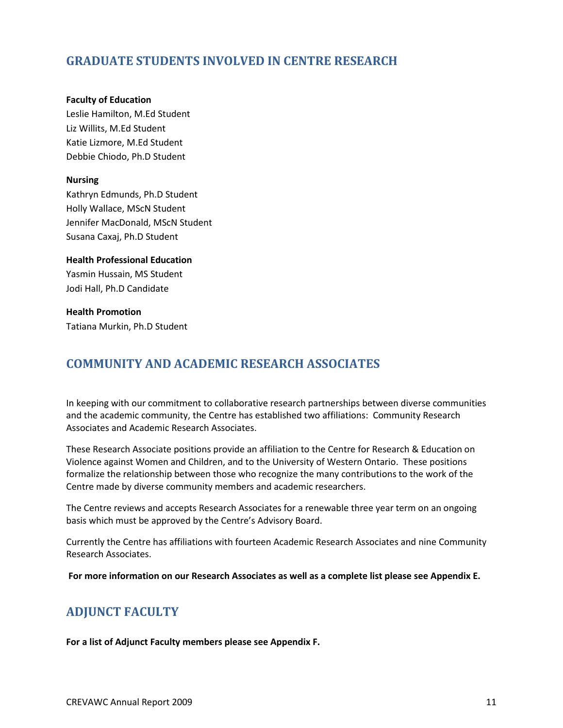# **GRADUATE STUDENTS INVOLVED IN CENTRE RESEARCH**

#### **Faculty of Education**

Leslie Hamilton, M.Ed Student Liz Willits, M.Ed Student Katie Lizmore, M.Ed Student Debbie Chiodo, Ph.D Student

#### **Nursing**

Kathryn Edmunds, Ph.D Student Holly Wallace, MScN Student Jennifer MacDonald, MScN Student Susana Caxaj, Ph.D Student

**Health Professional Education**  Yasmin Hussain, MS Student Jodi Hall, Ph.D Candidate

**Health Promotion** Tatiana Murkin, Ph.D Student

# **COMMUNITY AND ACADEMIC RESEARCH ASSOCIATES**

In keeping with our commitment to collaborative research partnerships between diverse communities and the academic community, the Centre has established two affiliations: Community Research Associates and Academic Research Associates.

These Research Associate positions provide an affiliation to the Centre for Research & Education on Violence against Women and Children, and to the University of Western Ontario. These positions formalize the relationship between those who recognize the many contributions to the work of the Centre made by diverse community members and academic researchers.

The Centre reviews and accepts Research Associates for a renewable three year term on an ongoing basis which must be approved by the Centre's Advisory Board.

Currently the Centre has affiliations with fourteen Academic Research Associates and nine Community Research Associates.

**For more information on our Research Associates as well as a complete list please see Appendix E.**

# **ADJUNCT FACULTY**

**For a list of Adjunct Faculty members please see Appendix F.**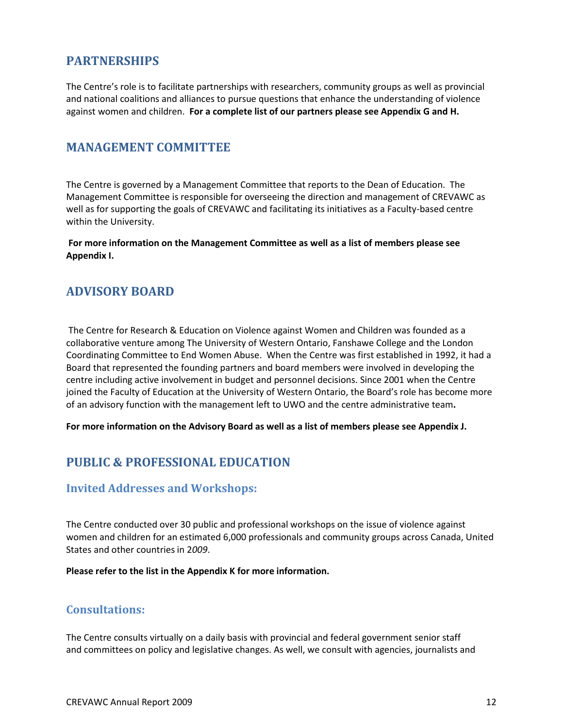# **PARTNERSHIPS**

The Centre's role is to facilitate partnerships with researchers, community groups as well as provincial and national coalitions and alliances to pursue questions that enhance the understanding of violence against women and children. **For a complete list of our partners please see Appendix G and H.** 

### **MANAGEMENT COMMITTEE**

The Centre is governed by a Management Committee that reports to the Dean of Education. The Management Committee is responsible for overseeing the direction and management of CREVAWC as well as for supporting the goals of CREVAWC and facilitating its initiatives as a Faculty-based centre within the University.

**For more information on the Management Committee as well as a list of members please see Appendix I.**

### **ADVISORY BOARD**

The Centre for Research & Education on Violence against Women and Children was founded as a collaborative venture among The University of Western Ontario, Fanshawe College and the London Coordinating Committee to End Women Abuse. When the Centre was first established in 1992, it had a Board that represented the founding partners and board members were involved in developing the centre including active involvement in budget and personnel decisions. Since 2001 when the Centre joined the Faculty of Education at the University of Western Ontario, the Board's role has become more of an advisory function with the management left to UWO and the centre administrative team**.**

**For more information on the Advisory Board as well as a list of members please see Appendix J.**

# **PUBLIC & PROFESSIONAL EDUCATION**

### **Invited Addresses and Workshops:**

The Centre conducted over 30 public and professional workshops on the issue of violence against women and children for an estimated 6,000 professionals and community groups across Canada, United States and other countries in 2*009*.

**Please refer to the list in the Appendix K for more information.**

### **Consultations:**

The Centre consults virtually on a daily basis with provincial and federal government senior staff and committees on policy and legislative changes. As well, we consult with agencies, journalists and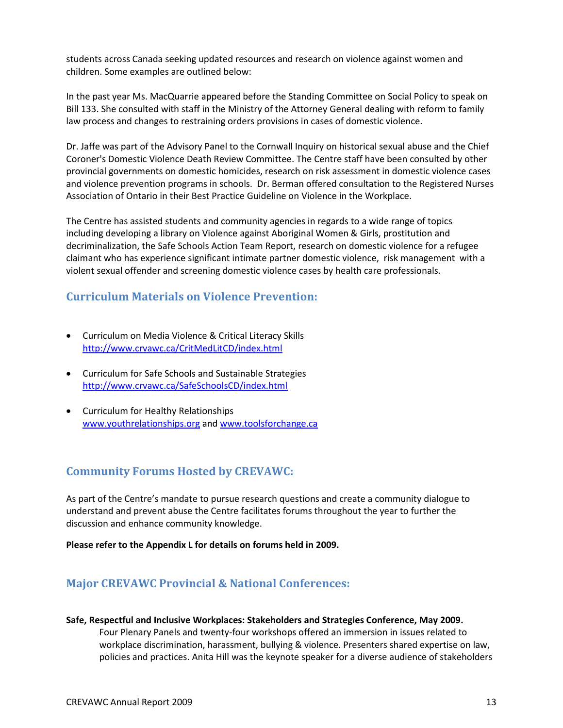students across Canada seeking updated resources and research on violence against women and children. Some examples are outlined below:

In the past year Ms. MacQuarrie appeared before the Standing Committee on Social Policy to speak on Bill 133. She consulted with staff in the Ministry of the Attorney General dealing with reform to family law process and changes to restraining orders provisions in cases of domestic violence.

Dr. Jaffe was part of the Advisory Panel to the Cornwall Inquiry on historical sexual abuse and the Chief Coroner's Domestic Violence Death Review Committee. The Centre staff have been consulted by other provincial governments on domestic homicides, research on risk assessment in domestic violence cases and violence prevention programs in schools. Dr. Berman offered consultation to the Registered Nurses Association of Ontario in their Best Practice Guideline on Violence in the Workplace.

The Centre has assisted students and community agencies in regards to a wide range of topics including developing a library on Violence against Aboriginal Women & Girls, prostitution and decriminalization, the Safe Schools Action Team Report, research on domestic violence for a refugee claimant who has experience significant intimate partner domestic violence, risk management with a violent sexual offender and screening domestic violence cases by health care professionals.

### **Curriculum Materials on Violence Prevention:**

- Curriculum on Media Violence & Critical Literacy Skills <http://www.crvawc.ca/CritMedLitCD/index.html>
- Curriculum for Safe Schools and Sustainable Strategies <http://www.crvawc.ca/SafeSchoolsCD/index.html>
- Curriculum for Healthy Relationships [www.youthrelationships.org](http://www.youthrelationships.org/) and [www.toolsforchange.ca](http://www.toolsforchange.ca/)

### **Community Forums Hosted by CREVAWC:**

As part of the Centre's mandate to pursue research questions and create a community dialogue to understand and prevent abuse the Centre facilitates forums throughout the year to further the discussion and enhance community knowledge.

**Please refer to the Appendix L for details on forums held in 2009.** 

### **Major CREVAWC Provincial & National Conferences:**

**Safe, Respectful and Inclusive Workplaces: Stakeholders and Strategies Conference, May 2009.**

Four Plenary Panels and twenty-four workshops offered an immersion in issues related to workplace discrimination, harassment, bullying & violence. Presenters shared expertise on law, policies and practices. Anita Hill was the keynote speaker for a diverse audience of stakeholders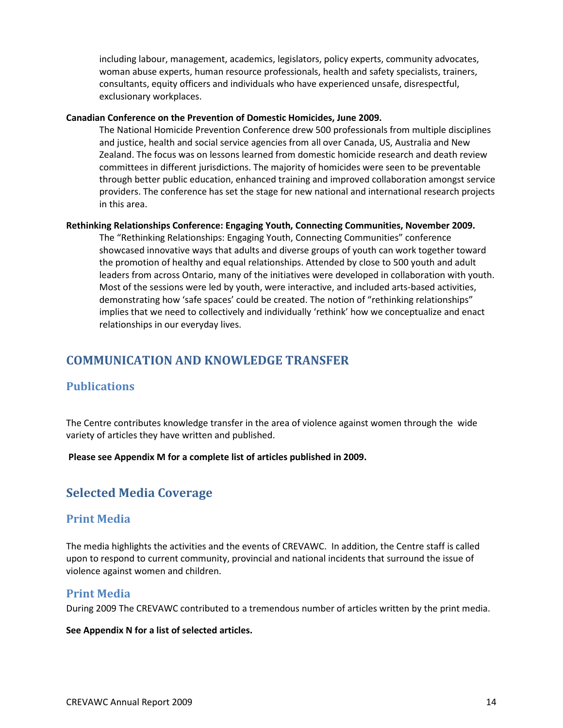including labour, management, academics, legislators, policy experts, community advocates, woman abuse experts, human resource professionals, health and safety specialists, trainers, consultants, equity officers and individuals who have experienced unsafe, disrespectful, exclusionary workplaces.

#### **Canadian Conference on the Prevention of Domestic Homicides, June 2009.**

The National Homicide Prevention Conference drew 500 professionals from multiple disciplines and justice, health and social service agencies from all over Canada, US, Australia and New Zealand. The focus was on lessons learned from domestic homicide research and death review committees in different jurisdictions. The majority of homicides were seen to be preventable through better public education, enhanced training and improved collaboration amongst service providers. The conference has set the stage for new national and international research projects in this area.

#### **Rethinking Relationships Conference: Engaging Youth, Connecting Communities, November 2009.**

The "Rethinking Relationships: Engaging Youth, Connecting Communities" conference showcased innovative ways that adults and diverse groups of youth can work together toward the promotion of healthy and equal relationships. Attended by close to 500 youth and adult leaders from across Ontario, many of the initiatives were developed in collaboration with youth. Most of the sessions were led by youth, were interactive, and included arts-based activities, demonstrating how 'safe spaces' could be created. The notion of "rethinking relationships" implies that we need to collectively and individually 'rethink' how we conceptualize and enact relationships in our everyday lives.

# **COMMUNICATION AND KNOWLEDGE TRANSFER**

### **Publications**

The Centre contributes knowledge transfer in the area of violence against women through the wide variety of articles they have written and published.

**Please see Appendix M for a complete list of articles published in 2009.** 

# **Selected Media Coverage**

### **Print Media**

The media highlights the activities and the events of CREVAWC. In addition, the Centre staff is called upon to respond to current community, provincial and national incidents that surround the issue of violence against women and children.

### **Print Media**

During 2009 The CREVAWC contributed to a tremendous number of articles written by the print media.

**See Appendix N for a list of selected articles.**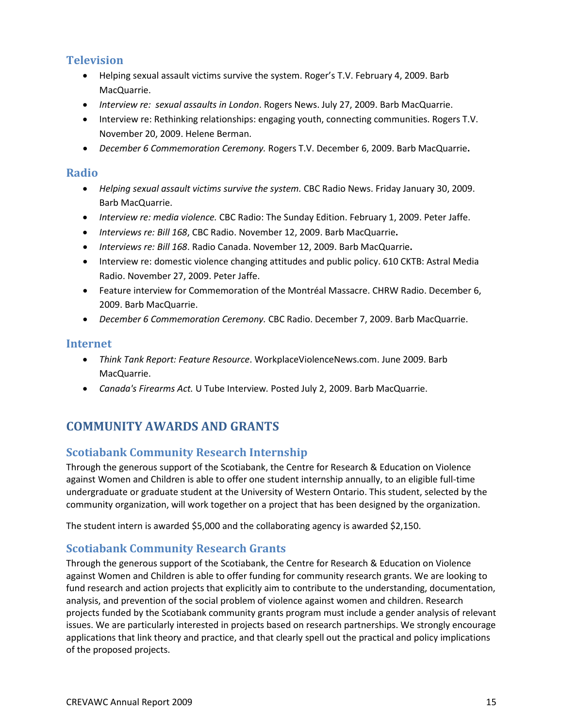# **Television**

- Helping sexual assault victims survive the system. Roger's T.V. February 4, 2009. Barb MacQuarrie.
- *Interview re: sexual assaults in London*. Rogers News. July 27, 2009. Barb MacQuarrie.
- Interview re: Rethinking relationships: engaging youth, connecting communities. Rogers T.V. November 20, 2009. Helene Berman.
- *December 6 Commemoration Ceremony.* Rogers T.V. December 6, 2009. Barb MacQuarrie**.**

### **Radio**

- *Helping sexual assault victims survive the system.* CBC Radio News. Friday January 30, 2009. Barb MacQuarrie.
- *Interview re: media violence.* CBC Radio: The Sunday Edition. February 1, 2009. Peter Jaffe.
- *Interviews re: Bill 168*, CBC Radio. November 12, 2009. Barb MacQuarrie**.**
- *Interviews re: Bill 168*. Radio Canada. November 12, 2009. Barb MacQuarrie**.**
- Interview re: domestic violence changing attitudes and public policy. 610 CKTB: Astral Media Radio. November 27, 2009. Peter Jaffe.
- Feature interview for Commemoration of the Montréal Massacre. CHRW Radio. December 6, 2009. Barb MacQuarrie.
- *December 6 Commemoration Ceremony.* CBC Radio. December 7, 2009. Barb MacQuarrie.

### **Internet**

- *Think Tank Report: Feature Resource*. WorkplaceViolenceNews.com. June 2009. Barb MacQuarrie.
- *Canada's Firearms Act.* U Tube Interview*.* Posted July 2, 2009. Barb MacQuarrie.

# **COMMUNITY AWARDS AND GRANTS**

### **Scotiabank Community Research Internship**

Through the generous support of the Scotiabank, the Centre for Research & Education on Violence against Women and Children is able to offer one student internship annually, to an eligible full-time undergraduate or graduate student at the University of Western Ontario. This student, selected by the community organization, will work together on a project that has been designed by the organization.

The student intern is awarded \$5,000 and the collaborating agency is awarded \$2,150.

### **Scotiabank Community Research Grants**

Through the generous support of the Scotiabank, the Centre for Research & Education on Violence against Women and Children is able to offer funding for community research grants. We are looking to fund research and action projects that explicitly aim to contribute to the understanding, documentation, analysis, and prevention of the social problem of violence against women and children. Research projects funded by the Scotiabank community grants program must include a gender analysis of relevant issues. We are particularly interested in projects based on research partnerships. We strongly encourage applications that link theory and practice, and that clearly spell out the practical and policy implications of the proposed projects.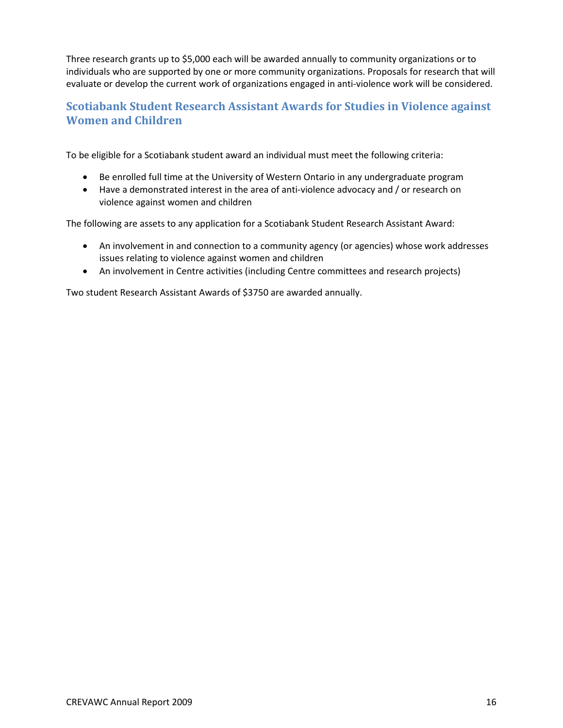Three research grants up to \$5,000 each will be awarded annually to community organizations or to individuals who are supported by one or more community organizations. Proposals for research that will evaluate or develop the current work of organizations engaged in anti-violence work will be considered.

# **Scotiabank Student Research Assistant Awards for Studies in Violence against Women and Children**

To be eligible for a Scotiabank student award an individual must meet the following criteria:

- Be enrolled full time at the University of Western Ontario in any undergraduate program
- Have a demonstrated interest in the area of anti-violence advocacy and / or research on violence against women and children

The following are assets to any application for a Scotiabank Student Research Assistant Award:

- An involvement in and connection to a community agency (or agencies) whose work addresses issues relating to violence against women and children
- An involvement in Centre activities (including Centre committees and research projects)

Two student Research Assistant Awards of \$3750 are awarded annually.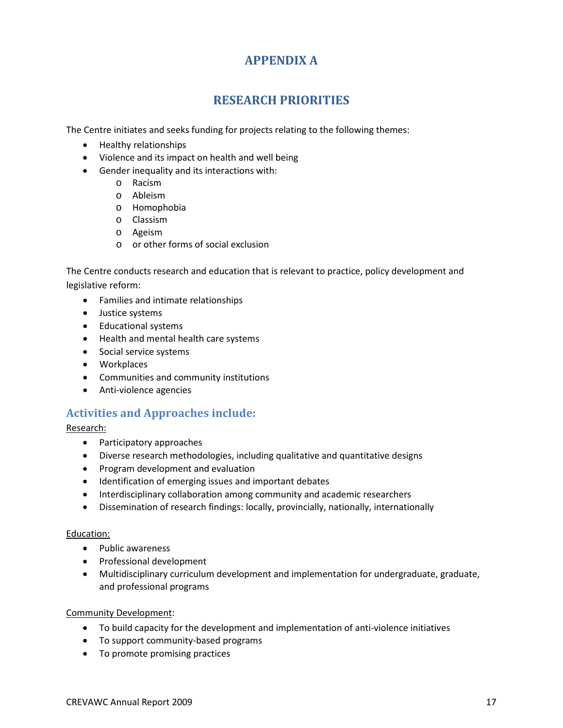# **APPENDIX A**

# **RESEARCH PRIORITIES**

The Centre initiates and seeks funding for projects relating to the following themes:

- Healthy relationships
- Violence and its impact on health and well being
- Gender inequality and its interactions with:
	- o Racism
	- o Ableism
	- o Homophobia
	- o Classism
	- o Ageism
	- o or other forms of social exclusion

The Centre conducts research and education that is relevant to practice, policy development and legislative reform:

- Families and intimate relationships
- Justice systems
- Educational systems
- Health and mental health care systems
- Social service systems
- Workplaces
- Communities and community institutions
- Anti-violence agencies

### **Activities and Approaches include:**

Research:

- Participatory approaches
- Diverse research methodologies, including qualitative and quantitative designs
- Program development and evaluation
- Identification of emerging issues and important debates
- Interdisciplinary collaboration among community and academic researchers
- Dissemination of research findings: locally, provincially, nationally, internationally

#### Education:

- Public awareness
- Professional development
- Multidisciplinary curriculum development and implementation for undergraduate, graduate, and professional programs

#### Community Development:

- To build capacity for the development and implementation of anti-violence initiatives
- To support community-based programs
- To promote promising practices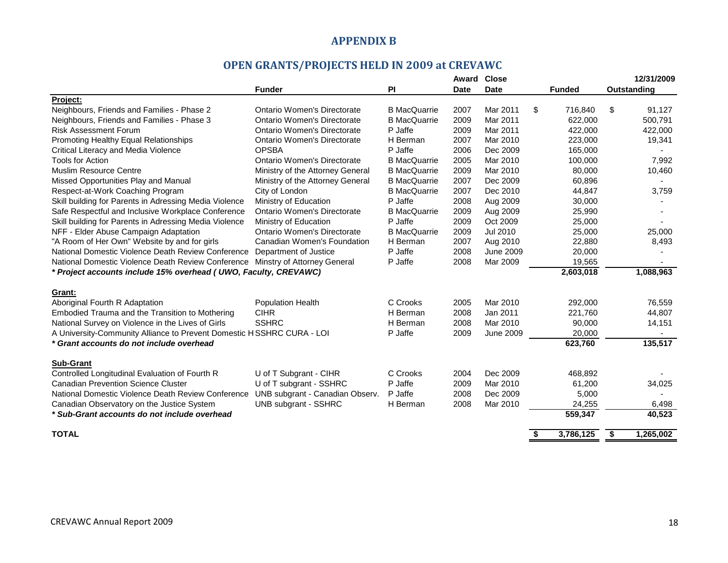### **APPENDIX B**

# **OPEN GRANTS/PROJECTS HELD IN 2009 at CREVAWC**

|                                                                       |                                    |                     | Award       | <b>Close</b>     |           |               |             | 12/31/2009 |  |
|-----------------------------------------------------------------------|------------------------------------|---------------------|-------------|------------------|-----------|---------------|-------------|------------|--|
|                                                                       | <b>Funder</b>                      | <b>PI</b>           | <b>Date</b> | <b>Date</b>      |           | <b>Funded</b> | Outstanding |            |  |
| Project:                                                              |                                    |                     |             |                  |           |               |             |            |  |
| Neighbours, Friends and Families - Phase 2                            | <b>Ontario Women's Directorate</b> | <b>B</b> MacQuarrie | 2007        | Mar 2011         | \$        | 716,840       | \$          | 91,127     |  |
| Neighbours, Friends and Families - Phase 3                            | <b>Ontario Women's Directorate</b> | <b>B</b> MacQuarrie | 2009        | Mar 2011         |           | 622,000       |             | 500,791    |  |
| <b>Risk Assessment Forum</b>                                          | Ontario Women's Directorate        | P Jaffe             | 2009        | Mar 2011         |           | 422,000       |             | 422,000    |  |
| Promoting Healthy Equal Relationships                                 | <b>Ontario Women's Directorate</b> | H Berman            | 2007        | Mar 2010         |           | 223,000       |             | 19,341     |  |
| Critical Literacy and Media Violence                                  | <b>OPSBA</b>                       | P Jaffe             | 2006        | Dec 2009         |           | 165,000       |             |            |  |
| <b>Tools for Action</b>                                               | Ontario Women's Directorate        | <b>B</b> MacQuarrie | 2005        | Mar 2010         |           | 100,000       |             | 7,992      |  |
| <b>Muslim Resource Centre</b>                                         | Ministry of the Attorney General   | <b>B</b> MacQuarrie | 2009        | Mar 2010         |           | 80,000        |             | 10,460     |  |
| Missed Opportunities Play and Manual                                  | Ministry of the Attorney General   | <b>B</b> MacQuarrie | 2007        | Dec 2009         |           | 60,896        |             |            |  |
| Respect-at-Work Coaching Program                                      | City of London                     | <b>B</b> MacQuarrie | 2007        | Dec 2010         |           | 44,847        |             | 3,759      |  |
| Skill building for Parents in Adressing Media Violence                | Ministry of Education              | P Jaffe             | 2008        | Aug 2009         |           | 30,000        |             |            |  |
| Safe Respectful and Inclusive Workplace Conference                    | <b>Ontario Women's Directorate</b> | <b>B</b> MacQuarrie | 2009        | Aug 2009         |           | 25,990        |             |            |  |
| Skill building for Parents in Adressing Media Violence                | Ministry of Education              | P Jaffe             | 2009        | Oct 2009         |           | 25,000        |             |            |  |
| NFF - Elder Abuse Campaign Adaptation                                 | <b>Ontario Women's Directorate</b> | <b>B</b> MacQuarrie | 2009        | Jul 2010         |           | 25,000        |             | 25,000     |  |
| "A Room of Her Own" Website by and for girls                          | Canadian Women's Foundation        | H Berman            | 2007        | Aug 2010         |           | 22,880        |             | 8,493      |  |
| National Domestic Violence Death Review Conference                    | Department of Justice              | P Jaffe             | 2008        | <b>June 2009</b> |           | 20,000        |             |            |  |
| National Domestic Violence Death Review Conference                    | Minstry of Attorney General        | P Jaffe             | 2008        | Mar 2009         |           | 19,565        |             |            |  |
| * Project accounts include 15% overhead (UWO, Faculty, CREVAWC)       |                                    |                     |             |                  | 2,603,018 |               | 1,088,963   |            |  |
|                                                                       |                                    |                     |             |                  |           |               |             |            |  |
| Grant:                                                                |                                    |                     |             |                  |           |               |             |            |  |
| Aboriginal Fourth R Adaptation                                        | <b>Population Health</b>           | C Crooks            | 2005        | Mar 2010         |           | 292,000       |             | 76,559     |  |
| Embodied Trauma and the Transition to Mothering                       | <b>CIHR</b>                        | H Berman            | 2008        | Jan 2011         |           | 221,760       |             | 44,807     |  |
| National Survey on Violence in the Lives of Girls                     | <b>SSHRC</b>                       | H Berman            | 2008        | Mar 2010         |           | 90,000        |             | 14,151     |  |
| A University-Community Alliance to Prevent Domestic HSSHRC CURA - LOI |                                    | P Jaffe             | 2009        | <b>June 2009</b> |           | 20,000        |             |            |  |
| * Grant accounts do not include overhead                              |                                    |                     |             |                  |           | 623,760       |             | 135,517    |  |
|                                                                       |                                    |                     |             |                  |           |               |             |            |  |
| <b>Sub-Grant</b>                                                      |                                    |                     |             |                  |           |               |             |            |  |
| Controlled Longitudinal Evaluation of Fourth R                        | U of T Subgrant - CIHR             | C Crooks            | 2004        | Dec 2009         |           | 468,892       |             |            |  |
| <b>Canadian Prevention Science Cluster</b>                            | U of T subgrant - SSHRC            | P Jaffe             | 2009        | Mar 2010         |           | 61,200        |             | 34,025     |  |
| National Domestic Violence Death Review Conference                    | UNB subgrant - Canadian Observ.    | P Jaffe             | 2008        | Dec 2009         |           | 5,000         |             |            |  |
| Canadian Observatory on the Justice System                            | <b>UNB subgrant - SSHRC</b>        | H Berman            | 2008        | Mar 2010         |           | 24,255        |             | 6,498      |  |
| * Sub-Grant accounts do not include overhead                          |                                    |                     |             |                  |           | 559,347       |             | 40,523     |  |
|                                                                       |                                    |                     |             |                  |           |               |             |            |  |
| <b>TOTAL</b>                                                          |                                    |                     |             |                  | \$        | 3,786,125     | \$          | 1,265,002  |  |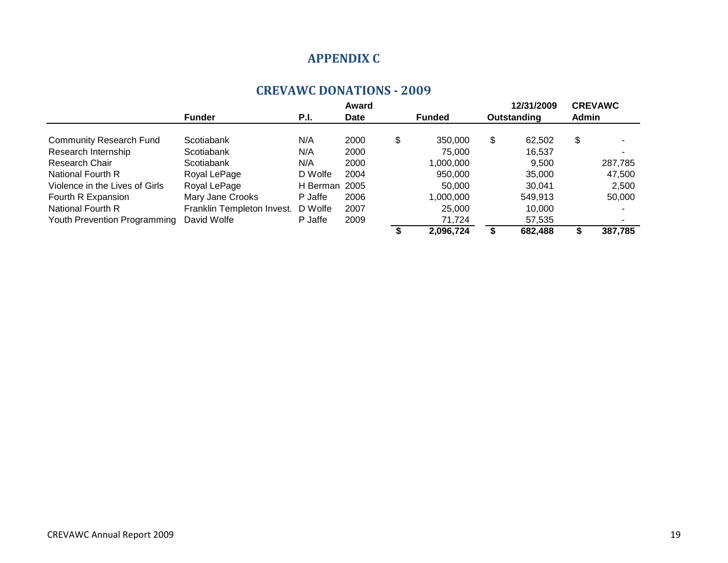# **APPENDIX C**

### **CREVAWC DONATIONS - 2009**

|                                |                            |               | Award       |               |           |    | 12/31/2009  |       | <b>CREVAWC</b>           |
|--------------------------------|----------------------------|---------------|-------------|---------------|-----------|----|-------------|-------|--------------------------|
|                                | <b>Funder</b>              | P.I.          | <b>Date</b> | <b>Funded</b> |           |    | Outstanding | Admin |                          |
| <b>Community Research Fund</b> | Scotiabank                 | N/A           | 2000        | \$            | 350,000   | \$ | 62.502      | \$    |                          |
| Research Internship            | Scotiabank                 | N/A           | 2000        |               | 75,000    |    | 16,537      |       | $\overline{\phantom{0}}$ |
| Research Chair                 | Scotiabank                 | N/A           | 2000        |               | 1,000,000 |    | 9.500       |       | 287,785                  |
| National Fourth R              | Royal LePage               | D Wolfe       | 2004        |               | 950,000   |    | 35,000      |       | 47,500                   |
| Violence in the Lives of Girls | Royal LePage               | H Berman 2005 |             |               | 50.000    |    | 30.041      |       | 2,500                    |
| Fourth R Expansion             | Mary Jane Crooks           | P Jaffe       | 2006        |               | 1,000,000 |    | 549.913     |       | 50,000                   |
| National Fourth R              | Franklin Templeton Invest. | D Wolfe       | 2007        |               | 25,000    |    | 10,000      |       |                          |
| Youth Prevention Programming   | David Wolfe                | P Jaffe       | 2009        |               | 71,724    |    | 57,535      |       | $\overline{\phantom{a}}$ |
|                                |                            |               |             |               | 2,096,724 | S  | 682,488     |       | 387,785                  |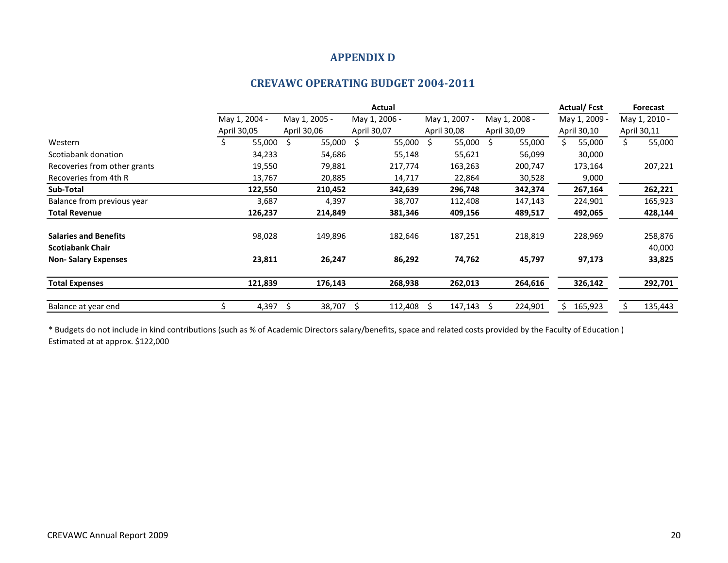### **APPENDIX D**

### **CREVAWC OPERATING BUDGET 2004-2011**

|                              | Actual        |         |               |  |               |     | <b>Actual/Fcst</b> | Forecast      |               |               |             |
|------------------------------|---------------|---------|---------------|--|---------------|-----|--------------------|---------------|---------------|---------------|-------------|
|                              | May 1, 2004 - |         | May 1, 2005 - |  | May 1, 2006 - |     | May 1, 2007 -      | May 1, 2008 - | May 1, 2009 - | May 1, 2010 - |             |
|                              | April 30,05   |         | April 30,06   |  | April 30,07   |     | April 30,08        | April 30,09   | April 30,10   |               | April 30,11 |
| Western                      | Ś             | 55,000  | 55,000<br>-S  |  | S.<br>55,000  | \$. | 55,000             | 55,000<br>S.  | Ś.<br>55,000  | \$            | 55,000      |
| Scotiabank donation          |               | 34,233  | 54,686        |  | 55,148        |     | 55,621             | 56,099        | 30,000        |               |             |
| Recoveries from other grants |               | 19,550  | 79,881        |  | 217,774       |     | 163,263            | 200,747       | 173,164       |               | 207,221     |
| Recoveries from 4th R        |               | 13,767  | 20,885        |  | 14,717        |     | 22,864             | 30,528        | 9,000         |               |             |
| Sub-Total                    |               | 122,550 | 210,452       |  | 342,639       |     | 296,748            | 342,374       | 267,164       |               | 262,221     |
| Balance from previous year   |               | 3,687   | 4,397         |  | 38,707        |     | 112,408            | 147,143       | 224,901       |               | 165,923     |
| <b>Total Revenue</b>         |               | 126,237 | 214,849       |  | 381,346       |     | 409,156            | 489,517       | 492,065       |               | 428,144     |
| <b>Salaries and Benefits</b> |               | 98,028  | 149,896       |  | 182,646       |     | 187,251            | 218,819       | 228,969       |               | 258,876     |
| <b>Scotiabank Chair</b>      |               |         |               |  |               |     |                    |               |               |               | 40,000      |
| <b>Non-Salary Expenses</b>   |               | 23,811  | 26,247        |  | 86,292        |     | 74,762             | 45,797        | 97,173        |               | 33,825      |
| <b>Total Expenses</b>        |               | 121,839 | 176,143       |  | 268,938       |     | 262,013            | 264,616       | 326,142       |               | 292,701     |
| Balance at year end          |               | 4,397   | 38,707<br>-S  |  | 112,408       |     | 147,143            | 224,901<br>S  | 165,923       |               | 135,443     |

\* Budgets do not include in kind contributions (such as % of Academic Directors salary/benefits, space and related costs provided by the Faculty of Education ) Estimated at at approx. \$122,000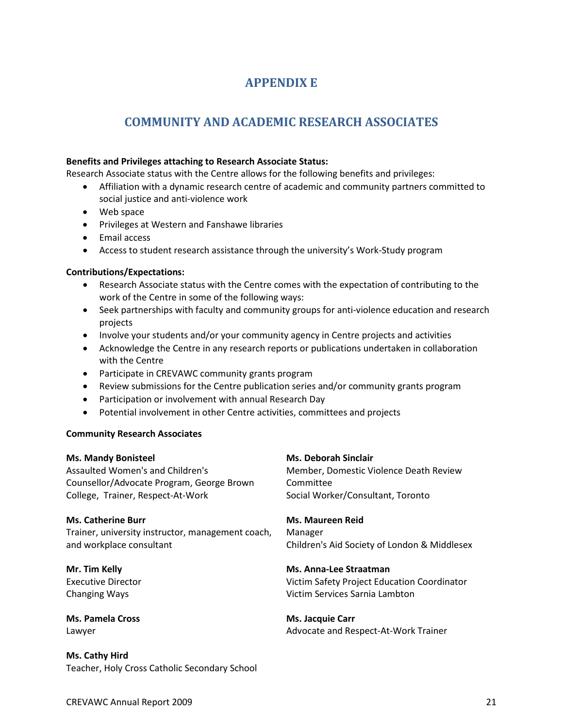# **APPENDIX E**

# **COMMUNITY AND ACADEMIC RESEARCH ASSOCIATES**

#### **Benefits and Privileges attaching to Research Associate Status:**

Research Associate status with the Centre allows for the following benefits and privileges:

- Affiliation with a dynamic research centre of academic and community partners committed to social justice and anti-violence work
- Web space
- Privileges at Western and Fanshawe libraries
- Email access
- Access to student research assistance through the university's Work-Study program

#### **Contributions/Expectations:**

- Research Associate status with the Centre comes with the expectation of contributing to the work of the Centre in some of the following ways:
- Seek partnerships with faculty and community groups for anti-violence education and research projects
- Involve your students and/or your community agency in Centre projects and activities
- Acknowledge the Centre in any research reports or publications undertaken in collaboration with the Centre
- Participate in CREVAWC community grants program
- Review submissions for the Centre publication series and/or community grants program
- Participation or involvement with annual Research Day
- Potential involvement in other Centre activities, committees and projects

#### **Community Research Associates**

#### **Ms. Mandy Bonisteel** Assaulted Women's and Children's Counsellor/Advocate Program, George Brown College, Trainer, Respect-At-Work **Ms. Deborah Sinclair** Member, Domestic Violence Death Review Committee Social Worker/Consultant, Toronto **Ms. Catherine Burr** Trainer, university instructor, management coach, and workplace consultant **Ms. Maureen Reid** Manager Children's Aid Society of London & Middlesex **Mr. Tim Kelly** Executive Director Changing Ways **Ms. Anna-Lee Straatman** Victim Safety Project Education Coordinator Victim Services Sarnia Lambton

**Ms. Pamela Cross** Lawyer

**Ms. Cathy Hird** Teacher, Holy Cross Catholic Secondary School **Ms. Jacquie Carr** Advocate and Respect-At-Work Trainer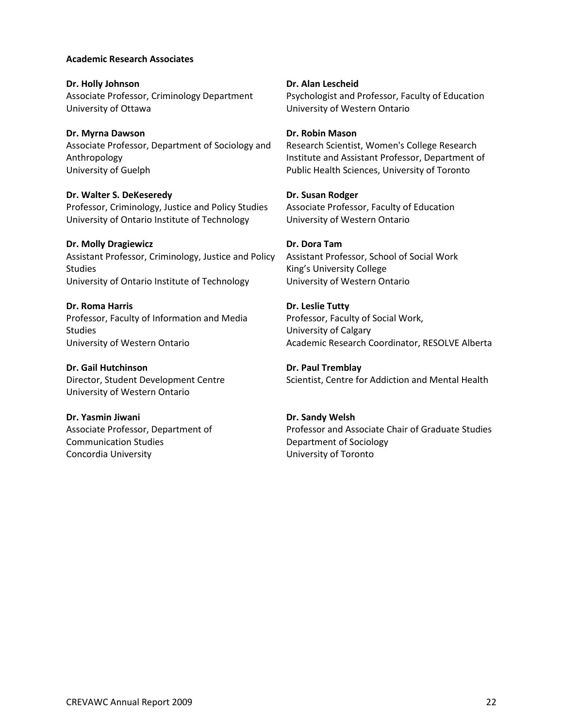#### **Academic Research Associates**

**Dr. Holly Johnson** Associate Professor, Criminology Department University of Ottawa

**Dr. Myrna Dawson**

Associate Professor, Department of Sociology and Anthropology University of Guelph

**Dr. Walter S. DeKeseredy** Professor, Criminology, Justice and Policy Studies University of Ontario Institute of Technology

#### **Dr. Molly Dragiewicz**

Assistant Professor, Criminology, Justice and Policy Studies University of Ontario Institute of Technology

**Dr. Roma Harris** Professor, Faculty of Information and Media **Studies** University of Western Ontario

**Dr. Gail Hutchinson** Director, Student Development Centre University of Western Ontario

**Dr. Yasmin Jiwani** Associate Professor, Department of Communication Studies Concordia University

**Dr. Alan Lescheid** Psychologist and Professor, Faculty of Education University of Western Ontario

#### **Dr. Robin Mason**

Research Scientist, Women's College Research Institute and Assistant Professor, Department of Public Health Sciences, University of Toronto

#### **Dr. Susan Rodger**

Associate Professor, Faculty of Education University of Western Ontario

#### **Dr. Dora Tam**

Assistant Professor, School of Social Work King's University College University of Western Ontario

**Dr. Leslie Tutty** Professor, Faculty of Social Work, University of Calgary Academic Research Coordinator, RESOLVE Alberta

**Dr. Paul Tremblay** Scientist, Centre for Addiction and Mental Health

#### **Dr. Sandy Welsh**

Professor and Associate Chair of Graduate Studies Department of Sociology University of Toronto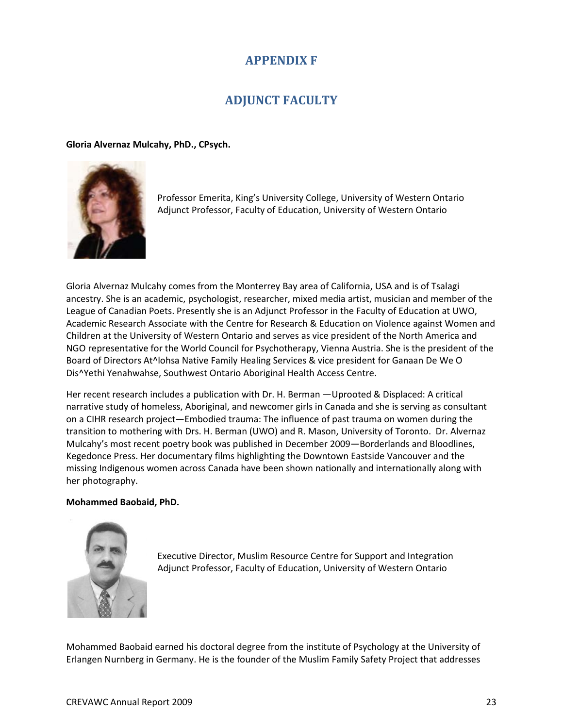# **APPENDIX F**

# **ADJUNCT FACULTY**

#### **Gloria Alvernaz Mulcahy, PhD., CPsych.**



Professor Emerita, King's University College, University of Western Ontario Adjunct Professor, Faculty of Education, University of Western Ontario

Gloria Alvernaz Mulcahy comes from the Monterrey Bay area of California, USA and is of Tsalagi ancestry. She is an academic, psychologist, researcher, mixed media artist, musician and member of the League of Canadian Poets. Presently she is an Adjunct Professor in the Faculty of Education at UWO, Academic Research Associate with the Centre for Research & Education on Violence against Women and Children at the University of Western Ontario and serves as vice president of the North America and NGO representative for the World Council for Psychotherapy, Vienna Austria. She is the president of the Board of Directors At^lohsa Native Family Healing Services & vice president for Ganaan De We O Dis^Yethi Yenahwahse, Southwest Ontario Aboriginal Health Access Centre.

Her recent research includes a publication with Dr. H. Berman —Uprooted & Displaced: A critical narrative study of homeless, Aboriginal, and newcomer girls in Canada and she is serving as consultant on a CIHR research project—Embodied trauma: The influence of past trauma on women during the transition to mothering with Drs. H. Berman (UWO) and R. Mason, University of Toronto. Dr. Alvernaz Mulcahy's most recent poetry book was published in December 2009—Borderlands and Bloodlines, Kegedonce Press. Her documentary films highlighting the Downtown Eastside Vancouver and the missing Indigenous women across Canada have been shown nationally and internationally along with her photography.

#### **Mohammed Baobaid, PhD.**



Executive Director, Muslim Resource Centre for Support and Integration Adjunct Professor, Faculty of Education, University of Western Ontario

Mohammed Baobaid earned his doctoral degree from the institute of Psychology at the University of Erlangen Nurnberg in Germany. He is the founder of the Muslim Family Safety Project that addresses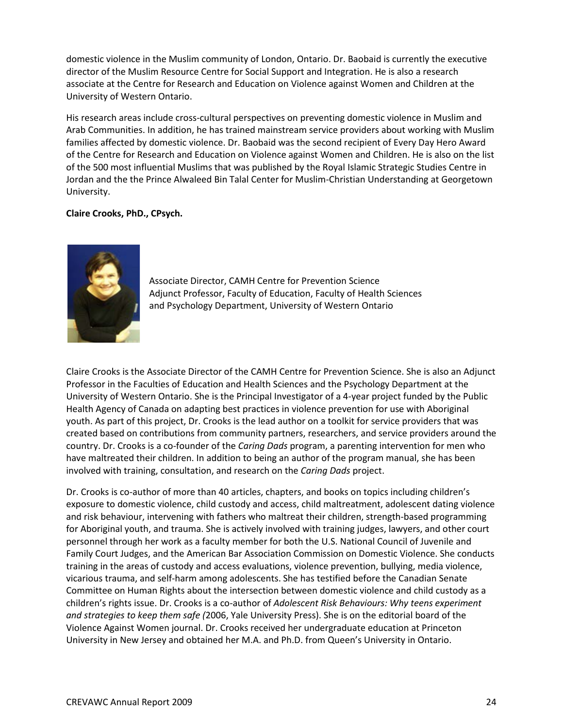domestic violence in the Muslim community of London, Ontario. Dr. Baobaid is currently the executive director of the Muslim Resource Centre for Social Support and Integration. He is also a research associate at the Centre for Research and Education on Violence against Women and Children at the University of Western Ontario.

His research areas include cross-cultural perspectives on preventing domestic violence in Muslim and Arab Communities. In addition, he has trained mainstream service providers about working with Muslim families affected by domestic violence. Dr. Baobaid was the second recipient of Every Day Hero Award of the Centre for Research and Education on Violence against Women and Children. He is also on the list of the 500 most influential Muslims that was published by the Royal Islamic Strategic Studies Centre in Jordan and the the Prince Alwaleed Bin Talal Center for Muslim-Christian Understanding at Georgetown University.

### **Claire Crooks, PhD., CPsych.**



Associate Director, CAMH Centre for Prevention Science Adjunct Professor, Faculty of Education, Faculty of Health Sciences and Psychology Department, University of Western Ontario

Claire Crooks is the Associate Director of the CAMH Centre for Prevention Science. She is also an Adjunct Professor in the Faculties of Education and Health Sciences and the Psychology Department at the University of Western Ontario. She is the Principal Investigator of a 4-year project funded by the Public Health Agency of Canada on adapting best practices in violence prevention for use with Aboriginal youth. As part of this project, Dr. Crooks is the lead author on a toolkit for service providers that was created based on contributions from community partners, researchers, and service providers around the country. Dr. Crooks is a co-founder of the *Caring Dads* program, a parenting intervention for men who have maltreated their children. In addition to being an author of the program manual, she has been involved with training, consultation, and research on the *Caring Dads* project.

Dr. Crooks is co-author of more than 40 articles, chapters, and books on topics including children's exposure to domestic violence, child custody and access, child maltreatment, adolescent dating violence and risk behaviour, intervening with fathers who maltreat their children, strength-based programming for Aboriginal youth, and trauma. She is actively involved with training judges, lawyers, and other court personnel through her work as a faculty member for both the U.S. National Council of Juvenile and Family Court Judges, and the American Bar Association Commission on Domestic Violence. She conducts training in the areas of custody and access evaluations, violence prevention, bullying, media violence, vicarious trauma, and self-harm among adolescents. She has testified before the Canadian Senate Committee on Human Rights about the intersection between domestic violence and child custody as a children's rights issue. Dr. Crooks is a co-author of *Adolescent Risk Behaviours: Why teens experiment and strategies to keep them safe (*2006, Yale University Press). She is on the editorial board of the Violence Against Women journal. Dr. Crooks received her undergraduate education at Princeton University in New Jersey and obtained her M.A. and Ph.D. from Queen's University in Ontario.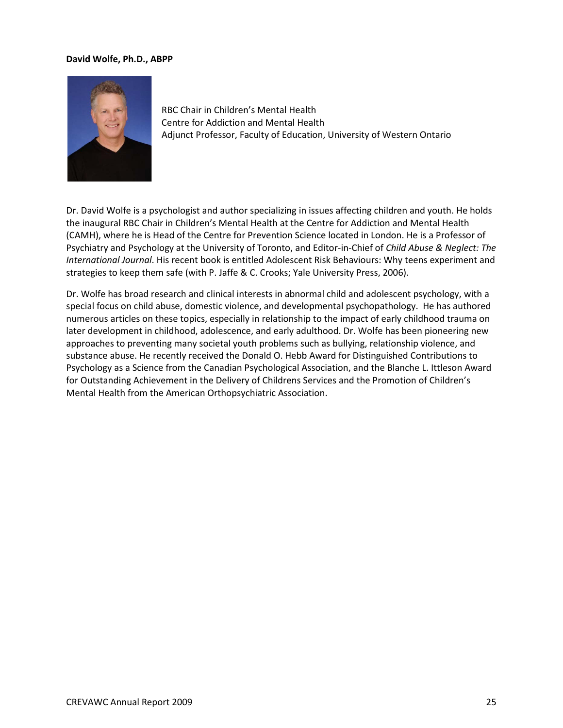#### **David Wolfe, Ph.D., ABPP**



RBC Chair in Children's Mental Health Centre for Addiction and Mental Health Adjunct Professor, Faculty of Education, University of Western Ontario

Dr. David Wolfe is a psychologist and author specializing in issues affecting children and youth. He holds the inaugural RBC Chair in Children's Mental Health at the Centre for Addiction and Mental Health (CAMH), where he is Head of the Centre for Prevention Science located in London. He is a Professor of Psychiatry and Psychology at the University of Toronto, and Editor-in-Chief of *Child Abuse & Neglect: The International Journal*. His recent book is entitled Adolescent Risk Behaviours: Why teens experiment and strategies to keep them safe (with P. Jaffe & C. Crooks; Yale University Press, 2006).

Dr. Wolfe has broad research and clinical interests in abnormal child and adolescent psychology, with a special focus on child abuse, domestic violence, and developmental psychopathology. He has authored numerous articles on these topics, especially in relationship to the impact of early childhood trauma on later development in childhood, adolescence, and early adulthood. Dr. Wolfe has been pioneering new approaches to preventing many societal youth problems such as bullying, relationship violence, and substance abuse. He recently received the Donald O. Hebb Award for Distinguished Contributions to Psychology as a Science from the Canadian Psychological Association, and the Blanche L. Ittleson Award for Outstanding Achievement in the Delivery of Childrens Services and the Promotion of Children's Mental Health from the American Orthopsychiatric Association.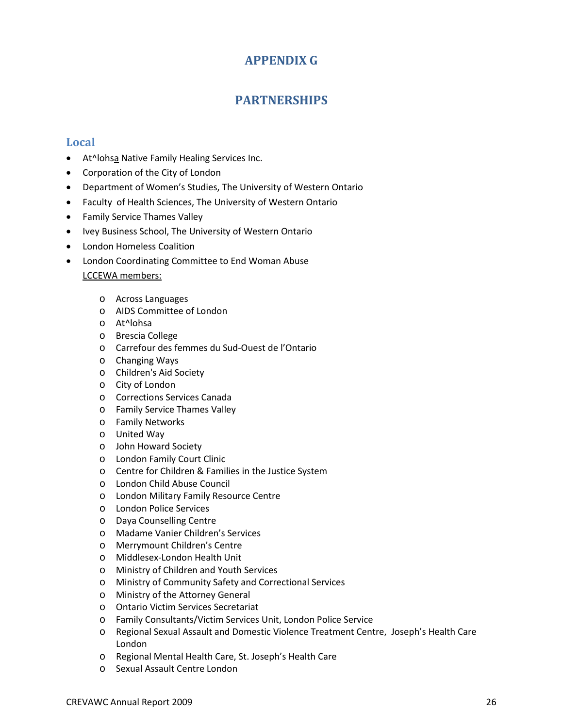# **APPENDIX G**

# **PARTNERSHIPS**

### **Local**

- At^lohsa Native Family Healing Services Inc.
- Corporation of the City of London
- Department of Women's Studies, The University of Western Ontario
- Faculty of Health Sciences, The University of Western Ontario
- Family Service Thames Valley
- Ivey Business School, The University of Western Ontario
- London Homeless Coalition
- London Coordinating Committee to End Woman Abuse LCCEWA members:
	- o Across Languages
	- o AIDS Committee of London
	- o At^lohsa
	- o Brescia College
	- o Carrefour des femmes du Sud-Ouest de l'Ontario
	- o Changing Ways
	- o Children's Aid Society
	- o City of London
	- o Corrections Services Canada
	- o Family Service Thames Valley
	- o Family Networks
	- o United Way
	- o John Howard Society
	- o London Family Court Clinic
	- o Centre for Children & Families in the Justice System
	- o London Child Abuse Council
	- o London Military Family Resource Centre
	- o London Police Services
	- o Daya Counselling Centre
	- o Madame Vanier Children's Services
	- o Merrymount Children's Centre
	- o Middlesex-London Health Unit
	- o Ministry of Children and Youth Services
	- o Ministry of Community Safety and Correctional Services
	- o Ministry of the Attorney General
	- o Ontario Victim Services Secretariat
	- o Family Consultants/Victim Services Unit, London Police Service
	- o Regional Sexual Assault and Domestic Violence Treatment Centre, Joseph's Health Care London
	- o Regional Mental Health Care, St. Joseph's Health Care
	- o Sexual Assault Centre London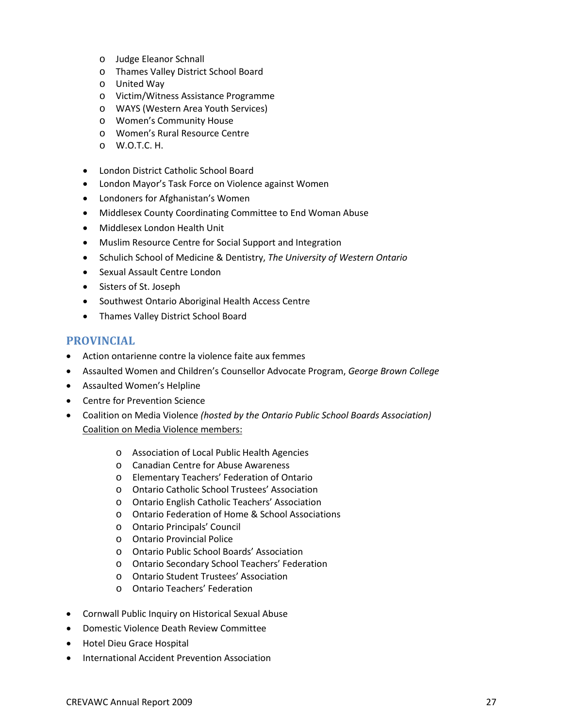- o Judge Eleanor Schnall
- o Thames Valley District School Board
- o United Way
- o Victim/Witness Assistance Programme
- o WAYS (Western Area Youth Services)
- o Women's Community House
- o Women's Rural Resource Centre
- o W.O.T.C. H.
- London District Catholic School Board
- London Mayor's Task Force on Violence against Women
- Londoners for Afghanistan's Women
- Middlesex County Coordinating Committee to End Woman Abuse
- Middlesex London Health Unit
- Muslim Resource Centre for Social Support and Integration
- Schulich School of Medicine & Dentistry, *The University of Western Ontario*
- Sexual Assault Centre London
- Sisters of St. Joseph
- Southwest Ontario Aboriginal Health Access Centre
- Thames Valley District School Board

### **PROVINCIAL**

- Action ontarienne contre la violence faite aux femmes
- Assaulted Women and Children's Counsellor Advocate Program, *George Brown College*
- Assaulted Women's Helpline
- Centre for Prevention Science
- Coalition on Media Violence *(hosted by the Ontario Public School Boards Association)* Coalition on Media Violence members:
	- o Association of Local Public Health Agencies
	- o Canadian Centre for Abuse Awareness
	- o Elementary Teachers' Federation of Ontario
	- o Ontario Catholic School Trustees' Association
	- o Ontario English Catholic Teachers' Association
	- o Ontario Federation of Home & School Associations
	- o Ontario Principals' Council
	- o Ontario Provincial Police
	- o Ontario Public School Boards' Association
	- o Ontario Secondary School Teachers' Federation
	- o Ontario Student Trustees' Association
	- o Ontario Teachers' Federation
- Cornwall Public Inquiry on Historical Sexual Abuse
- Domestic Violence Death Review Committee
- Hotel Dieu Grace Hospital
- International Accident Prevention Association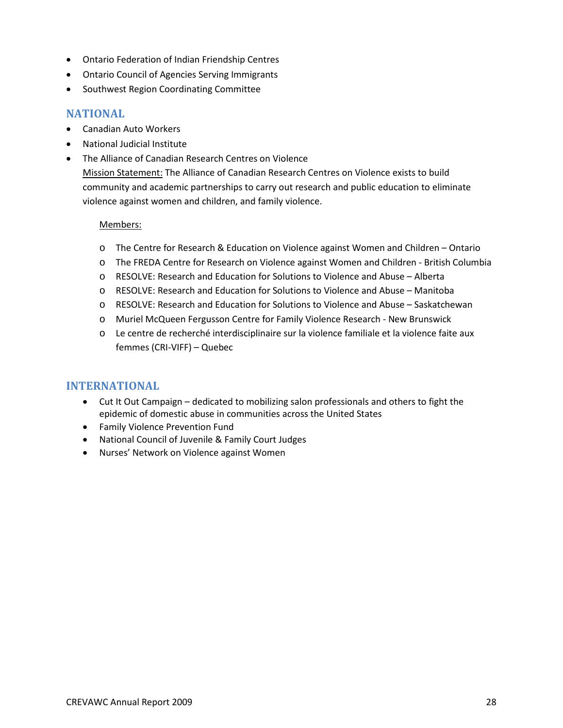- Ontario Federation of Indian Friendship Centres
- Ontario Council of Agencies Serving Immigrants
- Southwest Region Coordinating Committee

### **NATIONAL**

- Canadian Auto Workers
- National Judicial Institute
- The Alliance of Canadian Research Centres on Violence Mission Statement: The Alliance of Canadian Research Centres on Violence exists to build community and academic partnerships to carry out research and public education to eliminate violence against women and children, and family violence.

#### Members:

- o The Centre for Research & Education on Violence against Women and Children Ontario
- o The FREDA Centre for Research on Violence against Women and Children British Columbia
- o RESOLVE: Research and Education for Solutions to Violence and Abuse Alberta
- o RESOLVE: Research and Education for Solutions to Violence and Abuse Manitoba
- o RESOLVE: Research and Education for Solutions to Violence and Abuse Saskatchewan
- o Muriel McQueen Fergusson Centre for Family Violence Research New Brunswick
- o Le centre de recherché interdisciplinaire sur la violence familiale et la violence faite aux femmes (CRI-VIFF) – Quebec

### **INTERNATIONAL**

- Cut It Out Campaign dedicated to mobilizing salon professionals and others to fight the epidemic of domestic abuse in communities across the United States
- Family Violence Prevention Fund
- National Council of Juvenile & Family Court Judges
- Nurses' Network on Violence against Women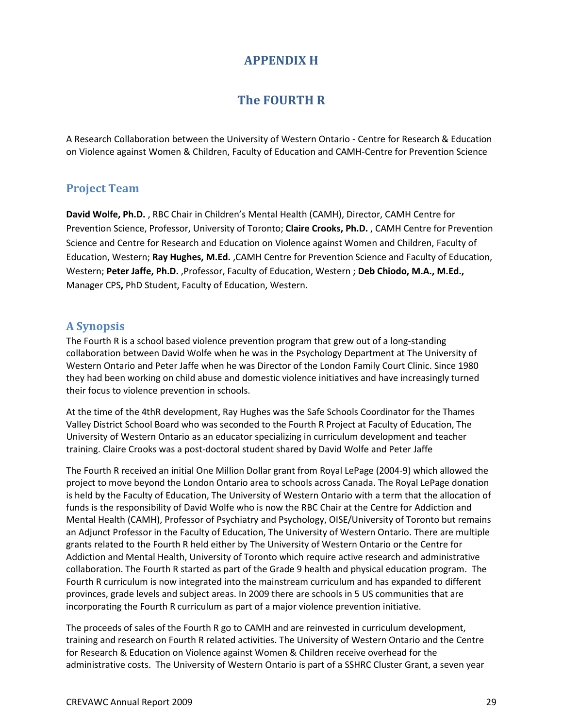# **APPENDIX H**

# **The FOURTH R**

A Research Collaboration between the University of Western Ontario - Centre for Research & Education on Violence against Women & Children, Faculty of Education and CAMH-Centre for Prevention Science

### **Project Team**

**David Wolfe, Ph.D.** , RBC Chair in Children's Mental Health (CAMH), Director, CAMH Centre for Prevention Science, Professor, University of Toronto; **Claire Crooks, Ph.D.** , CAMH Centre for Prevention Science and Centre for Research and Education on Violence against Women and Children, Faculty of Education, Western; **Ray Hughes, M.Ed.** ,CAMH Centre for Prevention Science and Faculty of Education, Western; **Peter Jaffe, Ph.D.** ,Professor, Faculty of Education, Western ; **Deb Chiodo, M.A., M.Ed.,**  Manager CPS**,** PhD Student, Faculty of Education, Western.

### **A Synopsis**

The Fourth R is a school based violence prevention program that grew out of a long-standing collaboration between David Wolfe when he was in the Psychology Department at The University of Western Ontario and Peter Jaffe when he was Director of the London Family Court Clinic. Since 1980 they had been working on child abuse and domestic violence initiatives and have increasingly turned their focus to violence prevention in schools.

At the time of the 4thR development, Ray Hughes was the Safe Schools Coordinator for the Thames Valley District School Board who was seconded to the Fourth R Project at Faculty of Education, The University of Western Ontario as an educator specializing in curriculum development and teacher training. Claire Crooks was a post-doctoral student shared by David Wolfe and Peter Jaffe

The Fourth R received an initial One Million Dollar grant from Royal LePage (2004-9) which allowed the project to move beyond the London Ontario area to schools across Canada. The Royal LePage donation is held by the Faculty of Education, The University of Western Ontario with a term that the allocation of funds is the responsibility of David Wolfe who is now the RBC Chair at the Centre for Addiction and Mental Health (CAMH), Professor of Psychiatry and Psychology, OISE/University of Toronto but remains an Adjunct Professor in the Faculty of Education, The University of Western Ontario. There are multiple grants related to the Fourth R held either by The University of Western Ontario or the Centre for Addiction and Mental Health, University of Toronto which require active research and administrative collaboration. The Fourth R started as part of the Grade 9 health and physical education program. The Fourth R curriculum is now integrated into the mainstream curriculum and has expanded to different provinces, grade levels and subject areas. In 2009 there are schools in 5 US communities that are incorporating the Fourth R curriculum as part of a major violence prevention initiative.

The proceeds of sales of the Fourth R go to CAMH and are reinvested in curriculum development, training and research on Fourth R related activities. The University of Western Ontario and the Centre for Research & Education on Violence against Women & Children receive overhead for the administrative costs. The University of Western Ontario is part of a SSHRC Cluster Grant, a seven year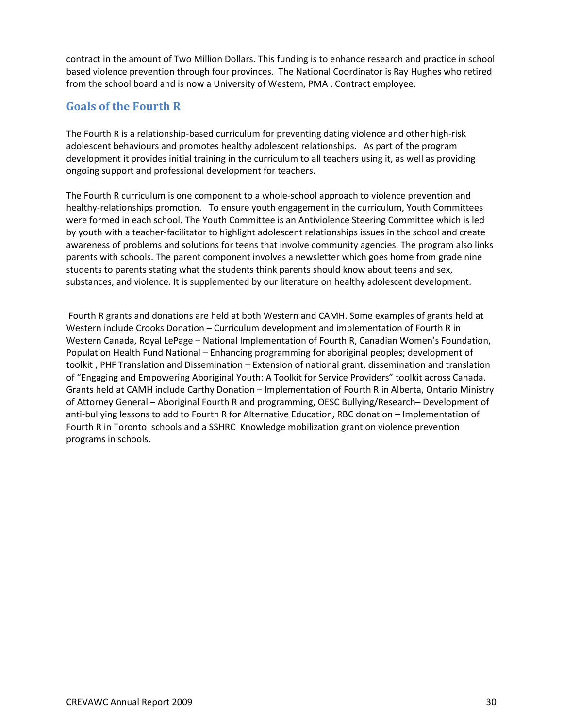contract in the amount of Two Million Dollars. This funding is to enhance research and practice in school based violence prevention through four provinces. The National Coordinator is Ray Hughes who retired from the school board and is now a University of Western, PMA , Contract employee.

### **Goals of the Fourth R**

The Fourth R is a relationship-based curriculum for preventing dating violence and other high-risk adolescent behaviours and promotes healthy adolescent relationships. As part of the program development it provides initial training in the curriculum to all teachers using it, as well as providing ongoing support and professional development for teachers.

The Fourth R curriculum is one component to a whole-school approach to violence prevention and healthy-relationships promotion. To ensure youth engagement in the curriculum, Youth Committees were formed in each school. The Youth Committee is an Antiviolence Steering Committee which is led by youth with a teacher-facilitator to highlight adolescent relationships issues in the school and create awareness of problems and solutions for teens that involve community agencies. The program also links parents with schools. The parent component involves a newsletter which goes home from grade nine students to parents stating what the students think parents should know about teens and sex, substances, and violence. It is supplemented by our literature on healthy adolescent development.

Fourth R grants and donations are held at both Western and CAMH. Some examples of grants held at Western include Crooks Donation – Curriculum development and implementation of Fourth R in Western Canada, Royal LePage – National Implementation of Fourth R, Canadian Women's Foundation, Population Health Fund National – Enhancing programming for aboriginal peoples; development of toolkit , PHF Translation and Dissemination – Extension of national grant, dissemination and translation of "Engaging and Empowering Aboriginal Youth: A Toolkit for Service Providers" toolkit across Canada. Grants held at CAMH include Carthy Donation – Implementation of Fourth R in Alberta, Ontario Ministry of Attorney General – Aboriginal Fourth R and programming, OESC Bullying/Research– Development of anti-bullying lessons to add to Fourth R for Alternative Education, RBC donation – Implementation of Fourth R in Toronto schools and a SSHRC Knowledge mobilization grant on violence prevention programs in schools.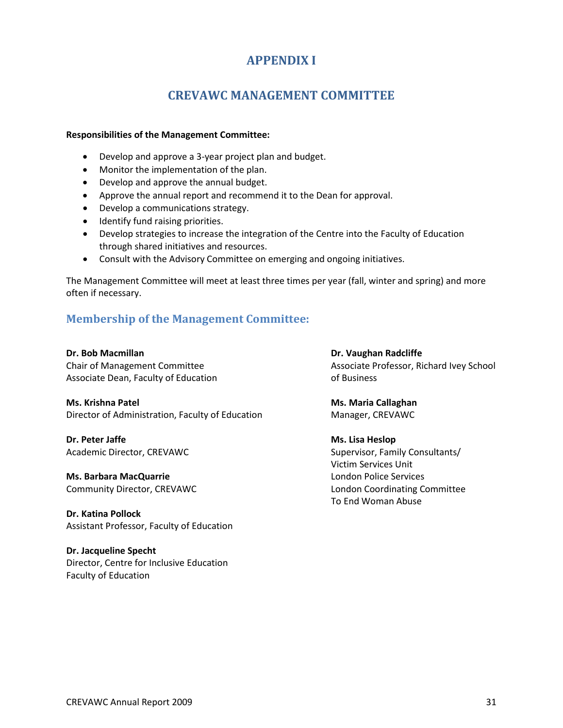# **APPENDIX I**

# **CREVAWC MANAGEMENT COMMITTEE**

#### **Responsibilities of the Management Committee:**

- Develop and approve a 3-year project plan and budget.
- Monitor the implementation of the plan.
- Develop and approve the annual budget.
- Approve the annual report and recommend it to the Dean for approval.
- Develop a communications strategy.
- Identify fund raising priorities.
- Develop strategies to increase the integration of the Centre into the Faculty of Education through shared initiatives and resources.
- Consult with the Advisory Committee on emerging and ongoing initiatives.

The Management Committee will meet at least three times per year (fall, winter and spring) and more often if necessary.

### **Membership of the Management Committee:**

Associate Dean, Faculty of Education **Example 20** of Business

**Ms. Krishna Patel Ms. Maria Callaghan** Director of Administration, Faculty of Education Manager, CREVAWC

**Dr. Peter Jaffe Ms. Lisa Heslop** 

**Ms. Barbara MacQuarrie London Police Services London Police Services** 

**Dr. Katina Pollock** Assistant Professor, Faculty of Education

**Dr. Jacqueline Specht** Director, Centre for Inclusive Education Faculty of Education

**Dr. Bob Macmillan Dr. Vaughan Radcliffe** Chair of Management Committee Associate Professor, Richard Ivey School

Academic Director, CREVAWC Supervisor, Family Consultants/ Victim Services Unit Community Director, CREVAWC London Coordinating Committee To End Woman Abuse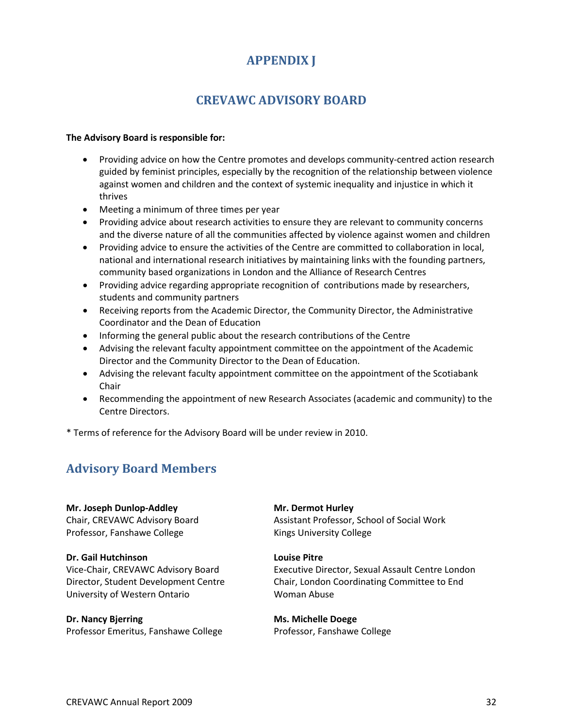# **APPENDIX J**

# **CREVAWC ADVISORY BOARD**

#### **The Advisory Board is responsible for:**

- Providing advice on how the Centre promotes and develops community-centred action research guided by feminist principles, especially by the recognition of the relationship between violence against women and children and the context of systemic inequality and injustice in which it thrives
- Meeting a minimum of three times per year
- Providing advice about research activities to ensure they are relevant to community concerns and the diverse nature of all the communities affected by violence against women and children
- Providing advice to ensure the activities of the Centre are committed to collaboration in local, national and international research initiatives by maintaining links with the founding partners, community based organizations in London and the Alliance of Research Centres
- Providing advice regarding appropriate recognition of contributions made by researchers, students and community partners
- Receiving reports from the Academic Director, the Community Director, the Administrative Coordinator and the Dean of Education
- Informing the general public about the research contributions of the Centre
- Advising the relevant faculty appointment committee on the appointment of the Academic Director and the Community Director to the Dean of Education.
- Advising the relevant faculty appointment committee on the appointment of the Scotiabank Chair
- Recommending the appointment of new Research Associates (academic and community) to the Centre Directors.

\* Terms of reference for the Advisory Board will be under review in 2010.

# **Advisory Board Members**

**Mr. Joseph Dunlop-Addley** Chair, CREVAWC Advisory Board Professor, Fanshawe College

**Dr. Gail Hutchinson** Vice-Chair, CREVAWC Advisory Board Director, Student Development Centre University of Western Ontario

**Dr. Nancy Bjerring** Professor Emeritus, Fanshawe College **Mr. Dermot Hurley** Assistant Professor, School of Social Work Kings University College

#### **Louise Pitre**

Executive Director, Sexual Assault Centre London Chair, London Coordinating Committee to End Woman Abuse

**Ms. Michelle Doege** Professor, Fanshawe College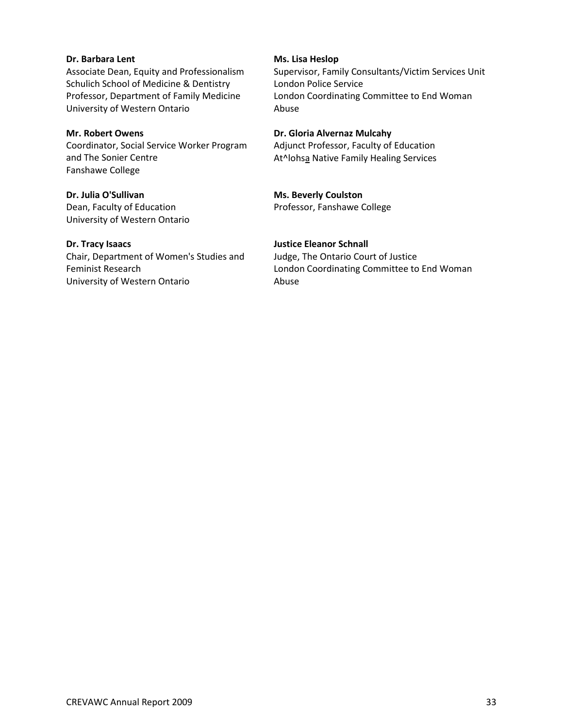#### **Dr. Barbara Lent**

Associate Dean, Equity and Professionalism Schulich School of Medicine & Dentistry Professor, Department of Family Medicine University of Western Ontario

#### **Mr. Robert Owens**

Coordinator, Social Service Worker Program and The Sonier Centre Fanshawe College

**Dr. Julia O'Sullivan** Dean, Faculty of Education University of Western Ontario

#### **Dr. Tracy Isaacs**

Chair, Department of Women's Studies and Feminist Research University of Western Ontario

#### **Ms. Lisa Heslop**

Supervisor, Family Consultants/Victim Services Unit London Police Service London Coordinating Committee to End Woman Abuse

#### **Dr. Gloria Alvernaz Mulcahy**

Adjunct Professor, Faculty of Education At^lohsa Native Family Healing Services

### **Ms. Beverly Coulston**

Professor, Fanshawe College

### **Justice Eleanor Schnall**

Judge, The Ontario Court of Justice London Coordinating Committee to End Woman Abuse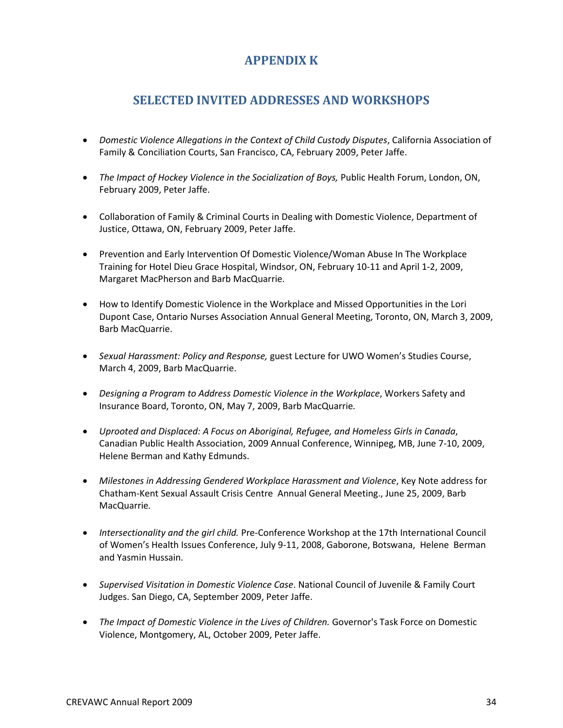# **APPENDIX K**

# **SELECTED INVITED ADDRESSES AND WORKSHOPS**

- *Domestic Violence Allegations in the Context of Child Custody Disputes*, California Association of Family & Conciliation Courts, San Francisco, CA, February 2009, Peter Jaffe.
- *The Impact of Hockey Violence in the Socialization of Boys,* Public Health Forum, London, ON, February 2009, Peter Jaffe.
- Collaboration of Family & Criminal Courts in Dealing with Domestic Violence, Department of Justice, Ottawa, ON, February 2009, Peter Jaffe.
- Prevention and Early Intervention Of Domestic Violence/Woman Abuse In The Workplace Training for Hotel Dieu Grace Hospital, Windsor, ON, February 10-11 and April 1-2, 2009, Margaret MacPherson and Barb MacQuarrie.
- How to Identify Domestic Violence in the Workplace and Missed Opportunities in the Lori Dupont Case, Ontario Nurses Association Annual General Meeting, Toronto, ON, March 3, 2009, Barb MacQuarrie.
- *Sexual Harassment: Policy and Response,* guest Lecture for UWO Women's Studies Course, March 4, 2009, Barb MacQuarrie.
- *Designing a Program to Address Domestic Violence in the Workplace*, Workers Safety and Insurance Board, Toronto, ON, May 7, 2009, Barb MacQuarrie*.*
- *Uprooted and Displaced: A Focus on Aboriginal, Refugee, and Homeless Girls in Canada*, Canadian Public Health Association, 2009 Annual Conference, Winnipeg, MB, June 7-10, 2009, Helene Berman and Kathy Edmunds.
- *Milestones in Addressing Gendered Workplace Harassment and Violence*, Key Note address for Chatham-Kent Sexual Assault Crisis Centre Annual General Meeting., June 25, 2009, Barb MacQuarrie*.*
- *Intersectionality and the girl child.* Pre-Conference Workshop at the 17th International Council of Women's Health Issues Conference, July 9-11, 2008, Gaborone, Botswana, Helene Berman and Yasmin Hussain.
- *Supervised Visitation in Domestic Violence Case*. National Council of Juvenile & Family Court Judges. San Diego, CA, September 2009, Peter Jaffe.
- *The Impact of Domestic Violence in the Lives of Children.* Governor's Task Force on Domestic Violence, Montgomery, AL, October 2009, Peter Jaffe.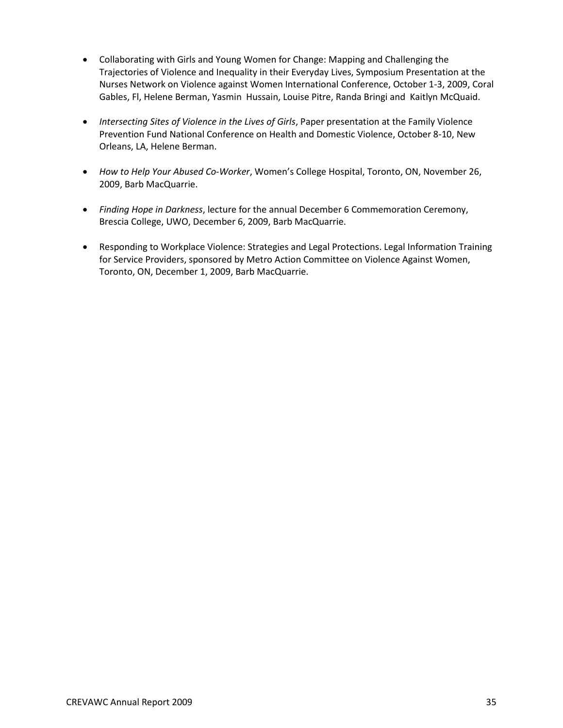- Collaborating with Girls and Young Women for Change: Mapping and Challenging the Trajectories of Violence and Inequality in their Everyday Lives, Symposium Presentation at the Nurses Network on Violence against Women International Conference, October 1-3, 2009, Coral Gables, Fl, Helene Berman, Yasmin Hussain, Louise Pitre, Randa Bringi and Kaitlyn McQuaid.
- *Intersecting Sites of Violence in the Lives of Girls*, Paper presentation at the Family Violence Prevention Fund National Conference on Health and Domestic Violence, October 8-10, New Orleans, LA, Helene Berman.
- *How to Help Your Abused Co-Worker*, Women's College Hospital, Toronto, ON, November 26, 2009, Barb MacQuarrie.
- *Finding Hope in Darkness*, lecture for the annual December 6 Commemoration Ceremony, Brescia College, UWO, December 6, 2009, Barb MacQuarrie.
- Responding to Workplace Violence: Strategies and Legal Protections. Legal Information Training for Service Providers, sponsored by Metro Action Committee on Violence Against Women, Toronto, ON, December 1, 2009, Barb MacQuarrie.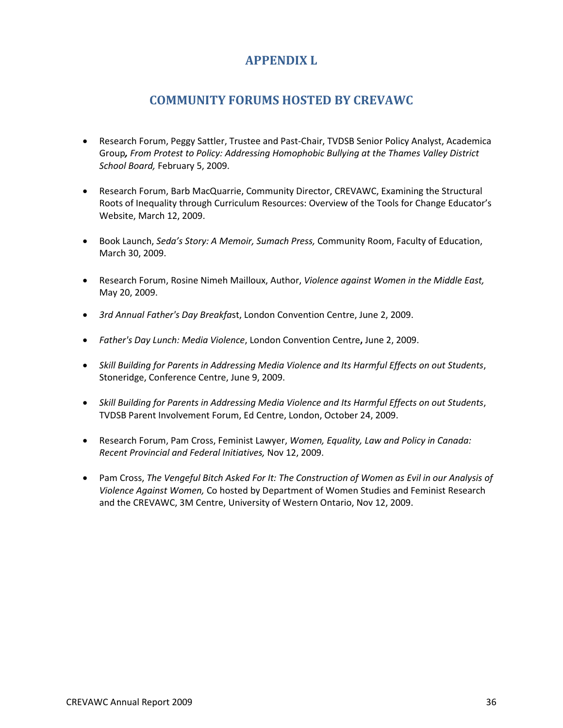# **APPENDIX L**

# **COMMUNITY FORUMS HOSTED BY CREVAWC**

- Research Forum, Peggy Sattler, Trustee and Past-Chair, TVDSB Senior Policy Analyst, Academica Group*, From Protest to Policy: Addressing Homophobic Bullying at the Thames Valley District School Board,* February 5, 2009.
- Research Forum, Barb MacQuarrie, Community Director, CREVAWC, Examining the Structural Roots of Inequality through Curriculum Resources: Overview of the Tools for Change Educator's Website, March 12, 2009.
- Book Launch, *Seda's Story: A Memoir, Sumach Press,* Community Room, Faculty of Education, March 30, 2009.
- Research Forum, Rosine Nimeh Mailloux, Author, *Violence against Women in the Middle East,*  May 20, 2009.
- *3rd Annual Father's Day Breakfa*st, London Convention Centre, June 2, 2009.
- *Father's Day Lunch: Media Violence*, London Convention Centre**,** June 2, 2009.
- *Skill Building for Parents in Addressing Media Violence and Its Harmful Effects on out Students*, Stoneridge, Conference Centre, June 9, 2009.
- *Skill Building for Parents in Addressing Media Violence and Its Harmful Effects on out Students*, TVDSB Parent Involvement Forum, Ed Centre, London, October 24, 2009.
- Research Forum, Pam Cross, Feminist Lawyer, *Women, Equality, Law and Policy in Canada: Recent Provincial and Federal Initiatives,* Nov 12, 2009.
- Pam Cross, *The Vengeful Bitch Asked For It: The Construction of Women as Evil in our Analysis of Violence Against Women,* Co hosted by Department of Women Studies and Feminist Research and the CREVAWC, 3M Centre, University of Western Ontario, Nov 12, 2009.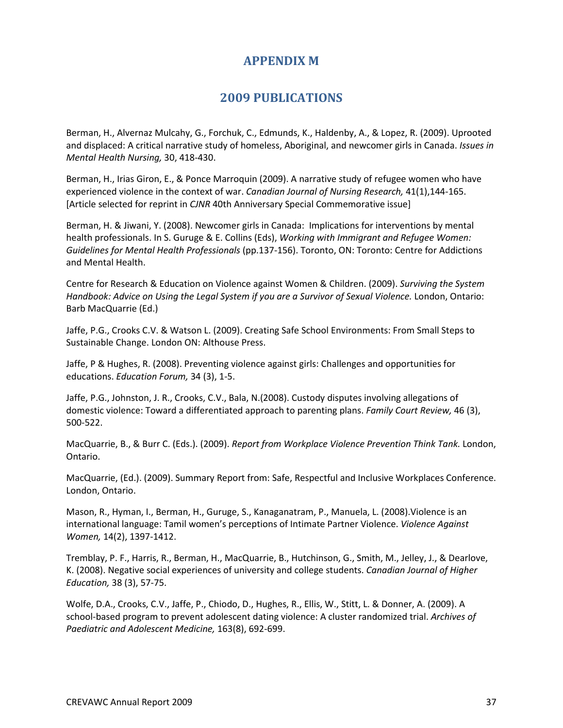# **APPENDIX M**

# **2009 PUBLICATIONS**

Berman, H., Alvernaz Mulcahy, G., Forchuk, C., Edmunds, K., Haldenby, A., & Lopez, R. (2009). Uprooted and displaced: A critical narrative study of homeless, Aboriginal, and newcomer girls in Canada. *Issues in Mental Health Nursing,* 30, 418-430.

Berman, H., Irias Giron, E., & Ponce Marroquin (2009). A narrative study of refugee women who have experienced violence in the context of war. *Canadian Journal of Nursing Research,* 41(1),144-165. [Article selected for reprint in *CJNR* 40th Anniversary Special Commemorative issue]

Berman, H. & Jiwani, Y. (2008). Newcomer girls in Canada: Implications for interventions by mental health professionals. In S. Guruge & E. Collins (Eds), *Working with Immigrant and Refugee Women: Guidelines for Mental Health Professionals* (pp.137-156). Toronto, ON: Toronto: Centre for Addictions and Mental Health.

Centre for Research & Education on Violence against Women & Children. (2009). *Surviving the System Handbook: Advice on Using the Legal System if you are a Survivor of Sexual Violence.* London, Ontario: Barb MacQuarrie (Ed.)

Jaffe, P.G., Crooks C.V. & Watson L. (2009). Creating Safe School Environments: From Small Steps to Sustainable Change. London ON: Althouse Press.

Jaffe, P & Hughes, R. (2008). Preventing violence against girls: Challenges and opportunities for educations. *Education Forum,* 34 (3), 1-5.

Jaffe, P.G., Johnston, J. R., Crooks, C.V., Bala, N.(2008). Custody disputes involving allegations of domestic violence: Toward a differentiated approach to parenting plans. *Family Court Review,* 46 (3), 500-522.

MacQuarrie, B., & Burr C. (Eds.). (2009). *Report from Workplace Violence Prevention Think Tank.* London, Ontario.

MacQuarrie, (Ed.). (2009). Summary Report from: Safe, Respectful and Inclusive Workplaces Conference. London, Ontario.

Mason, R., Hyman, I., Berman, H., Guruge, S., Kanaganatram, P., Manuela, L. (2008).Violence is an international language: Tamil women's perceptions of Intimate Partner Violence. *Violence Against Women,* 14(2), 1397-1412.

Tremblay, P. F., Harris, R., Berman, H., MacQuarrie, B., Hutchinson, G., Smith, M., Jelley, J., & Dearlove, K. (2008). Negative social experiences of university and college students. *Canadian Journal of Higher Education,* 38 (3), 57-75.

Wolfe, D.A., Crooks, C.V., Jaffe, P., Chiodo, D., Hughes, R., Ellis, W., Stitt, L. & Donner, A. (2009). A school-based program to prevent adolescent dating violence: A cluster randomized trial. *Archives of Paediatric and Adolescent Medicine,* 163(8), 692-699.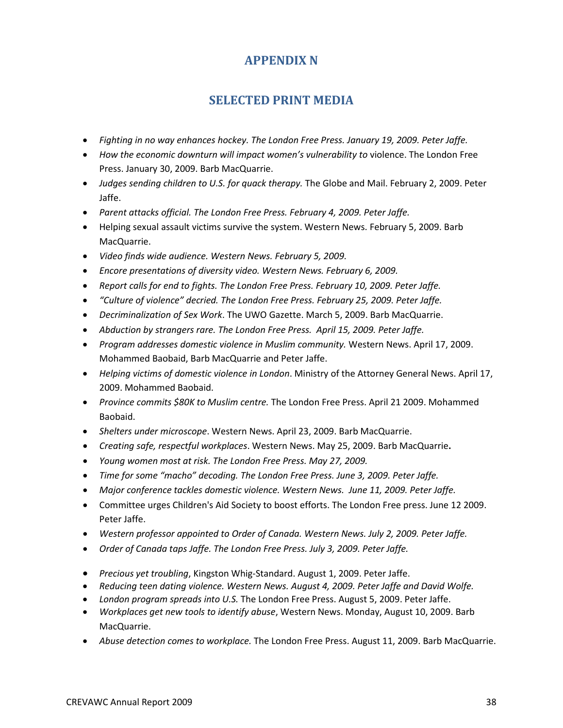# **APPENDIX N**

# **SELECTED PRINT MEDIA**

- *Fighting in no way enhances hockey. The London Free Press. January 19, 2009. Peter Jaffe.*
- How the economic downturn will impact women's vulnerability to violence. The London Free Press. January 30, 2009. Barb MacQuarrie.
- *Judges sending children to U.S. for quack therapy.* The Globe and Mail. February 2, 2009. Peter Jaffe.
- *Parent attacks official. The London Free Press. February 4, 2009. Peter Jaffe.*
- Helping sexual assault victims survive the system. Western News. February 5, 2009. Barb MacQuarrie.
- *Video finds wide audience. Western News. February 5, 2009.*
- *Encore presentations of diversity video. Western News. February 6, 2009.*
- *Report calls for end to fights. The London Free Press. February 10, 2009. Peter Jaffe.*
- *"Culture of violence" decried. The London Free Press. February 25, 2009. Peter Jaffe.*
- *Decriminalization of Sex Work*. The UWO Gazette. March 5, 2009. Barb MacQuarrie.
- *Abduction by strangers rare. The London Free Press. April 15, 2009. Peter Jaffe.*
- *Program addresses domestic violence in Muslim community.* Western News. April 17, 2009. Mohammed Baobaid, Barb MacQuarrie and Peter Jaffe.
- *Helping victims of domestic violence in London*. Ministry of the Attorney General News. April 17, 2009. Mohammed Baobaid.
- *Province commits \$80K to Muslim centre.* The London Free Press. April 21 2009. Mohammed Baobaid.
- *Shelters under microscope*. Western News. April 23, 2009. Barb MacQuarrie.
- *Creating safe, respectful workplaces*. Western News. May 25, 2009. Barb MacQuarrie**.**
- *Young women most at risk. The London Free Press. May 27, 2009.*
- *Time for some "macho" decoding. The London Free Press. June 3, 2009. Peter Jaffe.*
- *Major conference tackles domestic violence. Western News. June 11, 2009. Peter Jaffe.*
- Committee urges Children's Aid Society to boost efforts. The London Free press. June 12 2009. Peter Jaffe.
- *Western professor appointed to Order of Canada. Western News. July 2, 2009. Peter Jaffe.*
- *Order of Canada taps Jaffe. The London Free Press. July 3, 2009. Peter Jaffe.*
- *Precious yet troubling*, Kingston Whig-Standard. August 1, 2009. Peter Jaffe.
- *Reducing teen dating violence. Western News. August 4, 2009. Peter Jaffe and David Wolfe.*
- *London program spreads into U.S.* The London Free Press. August 5, 2009. Peter Jaffe.
- *Workplaces get new tools to identify abuse*, Western News. Monday, August 10, 2009. Barb MacQuarrie.
- *Abuse detection comes to workplace.* The London Free Press. August 11, 2009. Barb MacQuarrie.